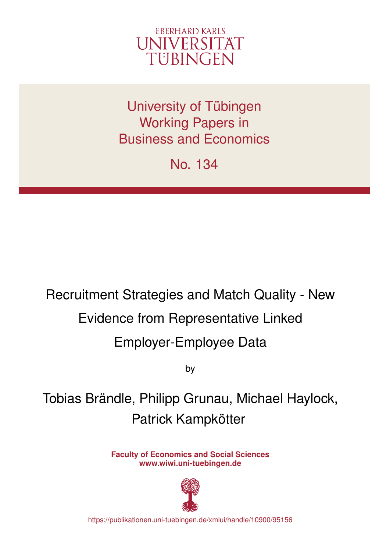

University of Tübingen Working Papers in Business and Economics

No. 134

# Recruitment Strategies and Match Quality - New Evidence from Representative Linked Employer-Employee Data

by

Tobias Brändle, Philipp Grunau, Michael Haylock, Patrick Kampkötter

> **Faculty of Economics and Social Sciences www.wiwi.uni-tuebingen.de**



https://publikationen.uni-tuebingen.de/xmlui/handle/10900/95156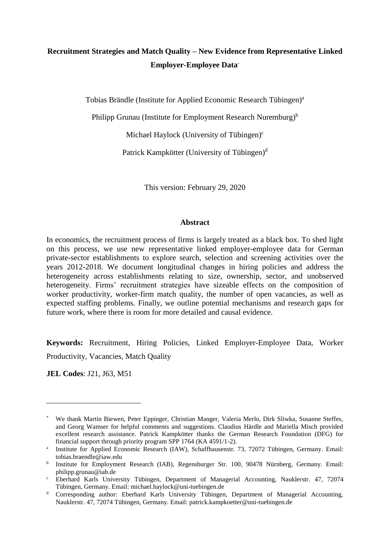# **Recruitment Strategies and Match Quality – New Evidence from Representative Linked Employer-Employee Data**\*

Tobias Brändle (Institute for Applied Economic Research Tübingen)<sup>a</sup>

Philipp Grunau (Institute for Employment Research Nuremburg)<sup>b</sup>

Michael Haylock (University of Tübingen) $c$ 

Patrick Kampkötter (University of Tübingen)<sup>d</sup>

This version: February 29, 2020

#### **Abstract**

In economics, the recruitment process of firms is largely treated as a black box. To shed light on this process, we use new representative linked employer-employee data for German private-sector establishments to explore search, selection and screening activities over the years 2012-2018. We document longitudinal changes in hiring policies and address the heterogeneity across establishments relating to size, ownership, sector, and unobserved heterogeneity. Firms' recruitment strategies have sizeable effects on the composition of worker productivity, worker-firm match quality, the number of open vacancies, as well as expected staffing problems. Finally, we outline potential mechanisms and research gaps for future work, where there is room for more detailed and causal evidence.

**Keywords:** Recruitment, Hiring Policies, Linked Employer-Employee Data, Worker Productivity, Vacancies, Match Quality

**JEL Codes**: J21, J63, M51

 $\overline{a}$ 

<sup>\*</sup> We thank Martin Biewen, Peter Eppinger, Christian Manger, Valeria Merlo, Dirk Sliwka, Susanne Steffes, and Georg Wamser for helpful comments and suggestions. Claudius Härdle and Mariella Misch provided excellent research assistance. Patrick Kampkötter thanks the German Research Foundation (DFG) for financial support through priority program SPP 1764 (KA 4591/1-2).

a Institute for Applied Economic Research (IAW), Schaffhausenstr. 73, 72072 Tübingen, Germany. Email: tobias.braendle@iaw.edu

b Institute for Employment Research (IAB), Regensburger Str. 100, 90478 Nürnberg, Germany. Email: philipp.grunau@iab.de

<sup>c</sup> Eberhard Karls University Tübingen, Department of Managerial Accounting, Nauklerstr. 47, 72074 Tübingen, Germany. Email: michael.haylock@uni-tuebingen.de

<sup>&</sup>lt;sup>d</sup> Corresponding author: Eberhard Karls University Tübingen, Department of Managerial Accounting, Nauklerstr. 47, 72074 Tübingen, Germany. Email: patrick.kampkoetter@uni-tuebingen.de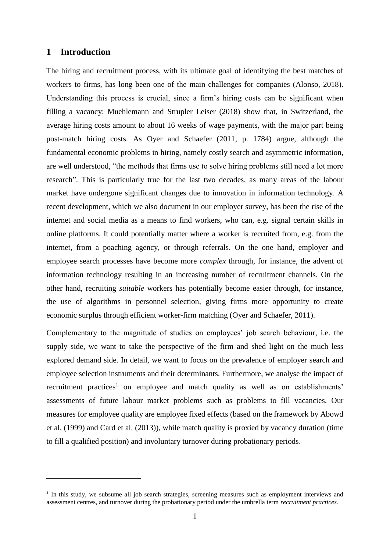#### **1 Introduction**

 $\overline{a}$ 

The hiring and recruitment process, with its ultimate goal of identifying the best matches of workers to firms, has long been one of the main challenges for companies (Alonso, 2018). Understanding this process is crucial, since a firm's hiring costs can be significant when filling a vacancy: Muehlemann and Strupler Leiser (2018) show that, in Switzerland, the average hiring costs amount to about 16 weeks of wage payments, with the major part being post-match hiring costs. As Oyer and Schaefer (2011, p. 1784) argue, although the fundamental economic problems in hiring, namely costly search and asymmetric information, are well understood, "the methods that firms use to solve hiring problems still need a lot more research". This is particularly true for the last two decades, as many areas of the labour market have undergone significant changes due to innovation in information technology. A recent development, which we also document in our employer survey, has been the rise of the internet and social media as a means to find workers, who can, e.g. signal certain skills in online platforms. It could potentially matter where a worker is recruited from, e.g. from the internet, from a poaching agency, or through referrals. On the one hand, employer and employee search processes have become more *complex* through, for instance, the advent of information technology resulting in an increasing number of recruitment channels. On the other hand, recruiting *suitable* workers has potentially become easier through, for instance, the use of algorithms in personnel selection, giving firms more opportunity to create economic surplus through efficient worker-firm matching (Oyer and Schaefer, 2011).

Complementary to the magnitude of studies on employees' job search behaviour, i.e. the supply side, we want to take the perspective of the firm and shed light on the much less explored demand side. In detail, we want to focus on the prevalence of employer search and employee selection instruments and their determinants. Furthermore, we analyse the impact of recruitment practices<sup>1</sup> on employee and match quality as well as on establishments' assessments of future labour market problems such as problems to fill vacancies. Our measures for employee quality are employee fixed effects (based on the framework by Abowd et al. (1999) and Card et al. (2013)), while match quality is proxied by vacancy duration (time to fill a qualified position) and involuntary turnover during probationary periods.

<sup>&</sup>lt;sup>1</sup> In this study, we subsume all job search strategies, screening measures such as employment interviews and assessment centres, and turnover during the probationary period under the umbrella term *recruitment practices.*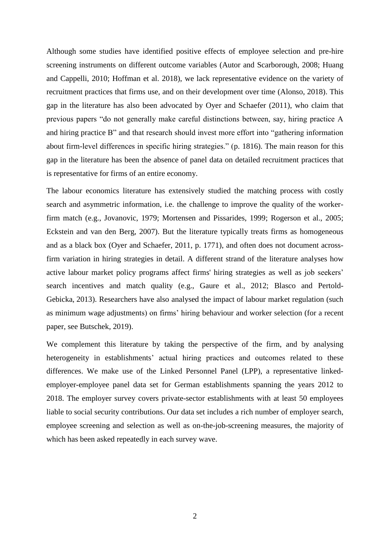Although some studies have identified positive effects of employee selection and pre-hire screening instruments on different outcome variables (Autor and Scarborough, 2008; Huang and Cappelli, 2010; Hoffman et al. 2018), we lack representative evidence on the variety of recruitment practices that firms use, and on their development over time (Alonso, 2018). This gap in the literature has also been advocated by Oyer and Schaefer (2011), who claim that previous papers "do not generally make careful distinctions between, say, hiring practice A and hiring practice B" and that research should invest more effort into "gathering information about firm-level differences in specific hiring strategies." (p. 1816). The main reason for this gap in the literature has been the absence of panel data on detailed recruitment practices that is representative for firms of an entire economy.

The labour economics literature has extensively studied the matching process with costly search and asymmetric information, i.e. the challenge to improve the quality of the workerfirm match (e.g., Jovanovic, 1979; Mortensen and Pissarides, 1999; Rogerson et al., 2005; Eckstein and van den Berg, 2007). But the literature typically treats firms as homogeneous and as a black box (Oyer and Schaefer, 2011, p. 1771), and often does not document acrossfirm variation in hiring strategies in detail. A different strand of the literature analyses how active labour market policy programs affect firms' hiring strategies as well as job seekers' search incentives and match quality (e.g., Gaure et al., 2012; Blasco and Pertold-Gebicka, 2013). Researchers have also analysed the impact of labour market regulation (such as minimum wage adjustments) on firms' hiring behaviour and worker selection (for a recent paper, see Butschek, 2019).

We complement this literature by taking the perspective of the firm, and by analysing heterogeneity in establishments' actual hiring practices and outcomes related to these differences. We make use of the Linked Personnel Panel (LPP), a representative linkedemployer-employee panel data set for German establishments spanning the years 2012 to 2018. The employer survey covers private-sector establishments with at least 50 employees liable to social security contributions. Our data set includes a rich number of employer search, employee screening and selection as well as on-the-job-screening measures, the majority of which has been asked repeatedly in each survey wave.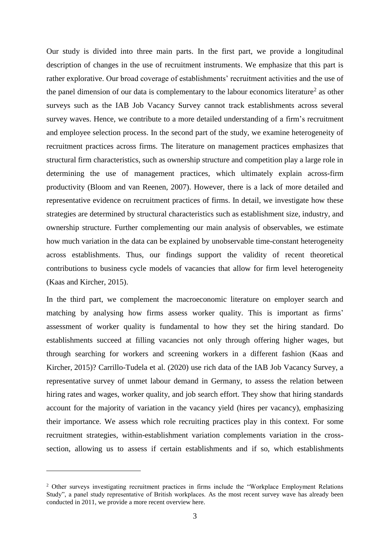Our study is divided into three main parts. In the first part, we provide a longitudinal description of changes in the use of recruitment instruments. We emphasize that this part is rather explorative. Our broad coverage of establishments' recruitment activities and the use of the panel dimension of our data is complementary to the labour economics literature<sup>2</sup> as other surveys such as the IAB Job Vacancy Survey cannot track establishments across several survey waves. Hence, we contribute to a more detailed understanding of a firm's recruitment and employee selection process. In the second part of the study, we examine heterogeneity of recruitment practices across firms. The literature on management practices emphasizes that structural firm characteristics, such as ownership structure and competition play a large role in determining the use of management practices, which ultimately explain across-firm productivity (Bloom and van Reenen, 2007). However, there is a lack of more detailed and representative evidence on recruitment practices of firms. In detail, we investigate how these strategies are determined by structural characteristics such as establishment size, industry, and ownership structure. Further complementing our main analysis of observables, we estimate how much variation in the data can be explained by unobservable time-constant heterogeneity across establishments. Thus, our findings support the validity of recent theoretical contributions to business cycle models of vacancies that allow for firm level heterogeneity (Kaas and Kircher, 2015).

In the third part, we complement the macroeconomic literature on employer search and matching by analysing how firms assess worker quality. This is important as firms' assessment of worker quality is fundamental to how they set the hiring standard. Do establishments succeed at filling vacancies not only through offering higher wages, but through searching for workers and screening workers in a different fashion (Kaas and Kircher, 2015)? Carrillo-Tudela et al. (2020) use rich data of the IAB Job Vacancy Survey, a representative survey of unmet labour demand in Germany, to assess the relation between hiring rates and wages, worker quality, and job search effort. They show that hiring standards account for the majority of variation in the vacancy yield (hires per vacancy), emphasizing their importance. We assess which role recruiting practices play in this context. For some recruitment strategies, within-establishment variation complements variation in the crosssection, allowing us to assess if certain establishments and if so, which establishments

 $\overline{a}$ 

<sup>&</sup>lt;sup>2</sup> Other surveys investigating recruitment practices in firms include the "Workplace Employment Relations Study", a panel study representative of British workplaces. As the most recent survey wave has already been conducted in 2011, we provide a more recent overview here.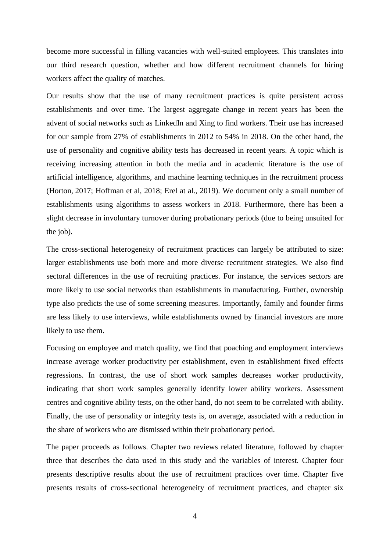become more successful in filling vacancies with well-suited employees. This translates into our third research question, whether and how different recruitment channels for hiring workers affect the quality of matches.

Our results show that the use of many recruitment practices is quite persistent across establishments and over time. The largest aggregate change in recent years has been the advent of social networks such as LinkedIn and Xing to find workers. Their use has increased for our sample from 27% of establishments in 2012 to 54% in 2018. On the other hand, the use of personality and cognitive ability tests has decreased in recent years. A topic which is receiving increasing attention in both the media and in academic literature is the use of artificial intelligence, algorithms, and machine learning techniques in the recruitment process (Horton, 2017; Hoffman et al, 2018; Erel at al., 2019). We document only a small number of establishments using algorithms to assess workers in 2018. Furthermore, there has been a slight decrease in involuntary turnover during probationary periods (due to being unsuited for the job).

The cross-sectional heterogeneity of recruitment practices can largely be attributed to size: larger establishments use both more and more diverse recruitment strategies. We also find sectoral differences in the use of recruiting practices. For instance, the services sectors are more likely to use social networks than establishments in manufacturing. Further, ownership type also predicts the use of some screening measures. Importantly, family and founder firms are less likely to use interviews, while establishments owned by financial investors are more likely to use them.

Focusing on employee and match quality, we find that poaching and employment interviews increase average worker productivity per establishment, even in establishment fixed effects regressions. In contrast, the use of short work samples decreases worker productivity, indicating that short work samples generally identify lower ability workers. Assessment centres and cognitive ability tests, on the other hand, do not seem to be correlated with ability. Finally, the use of personality or integrity tests is, on average, associated with a reduction in the share of workers who are dismissed within their probationary period.

The paper proceeds as follows. Chapter two reviews related literature, followed by chapter three that describes the data used in this study and the variables of interest. Chapter four presents descriptive results about the use of recruitment practices over time. Chapter five presents results of cross-sectional heterogeneity of recruitment practices, and chapter six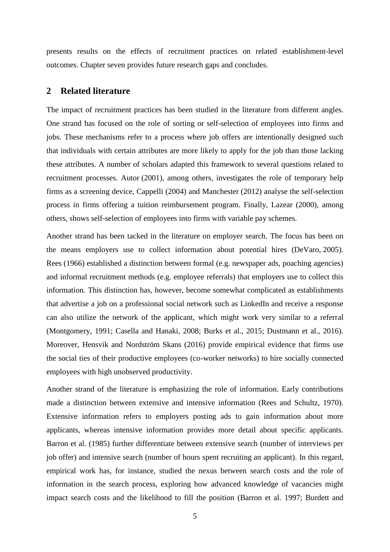presents results on the effects of recruitment practices on related establishment-level outcomes. Chapter seven provides future research gaps and concludes.

#### **2 Related literature**

The impact of recruitment practices has been studied in the literature from different angles. One strand has focused on the role of sorting or self-selection of employees into firms and jobs. These mechanisms refer to a process where job offers are intentionally designed such that individuals with certain attributes are more likely to apply for the job than those lacking these attributes. A number of scholars adapted this framework to several questions related to recruitment processes. Autor (2001), among others, investigates the role of temporary help firms as a screening device, Cappelli (2004) and Manchester (2012) analyse the self-selection process in firms offering a tuition reimbursement program. Finally, Lazear (2000), among others, shows self-selection of employees into firms with variable pay schemes.

Another strand has been tacked in the literature on employer search. The focus has been on the means employers use to collect information about potential hires (DeVaro, 2005). Rees (1966) established a distinction between formal (e.g. newspaper ads, poaching agencies) and informal recruitment methods (e.g. employee referrals) that employers use to collect this information. This distinction has, however, become somewhat complicated as establishments that advertise a job on a professional social network such as LinkedIn and receive a response can also utilize the network of the applicant, which might work very similar to a referral (Montgomery, 1991; Casella and Hanaki, 2008; Burks et al., 2015; Dustmann et al., 2016). Moreover, Hensvik and Nordström Skans (2016) provide empirical evidence that firms use the social ties of their productive employees (co-worker networks) to hire socially connected employees with high unobserved productivity.

Another strand of the literature is emphasizing the role of information. Early contributions made a distinction between extensive and intensive information (Rees and Schultz, 1970). Extensive information refers to employers posting ads to gain information about more applicants, whereas intensive information provides more detail about specific applicants. Barron et al. (1985) further differentiate between extensive search (number of interviews per job offer) and intensive search (number of hours spent recruiting an applicant). In this regard, empirical work has, for instance, studied the nexus between search costs and the role of information in the search process, exploring how advanced knowledge of vacancies might impact search costs and the likelihood to fill the position (Barron et al. 1997; Burdett and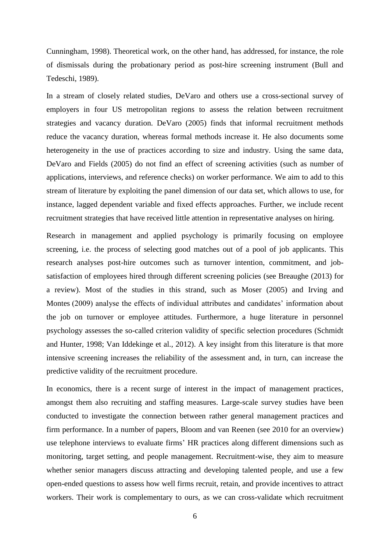Cunningham, 1998). Theoretical work, on the other hand, has addressed, for instance, the role of dismissals during the probationary period as post-hire screening instrument (Bull and Tedeschi, 1989).

In a stream of closely related studies, DeVaro and others use a cross-sectional survey of employers in four US metropolitan regions to assess the relation between recruitment strategies and vacancy duration. DeVaro (2005) finds that informal recruitment methods reduce the vacancy duration, whereas formal methods increase it. He also documents some heterogeneity in the use of practices according to size and industry. Using the same data, DeVaro and Fields (2005) do not find an effect of screening activities (such as number of applications, interviews, and reference checks) on worker performance. We aim to add to this stream of literature by exploiting the panel dimension of our data set, which allows to use, for instance, lagged dependent variable and fixed effects approaches. Further, we include recent recruitment strategies that have received little attention in representative analyses on hiring.

Research in management and applied psychology is primarily focusing on employee screening, i.e. the process of selecting good matches out of a pool of job applicants. This research analyses post-hire outcomes such as turnover intention, commitment, and jobsatisfaction of employees hired through different screening policies (see Breaughe (2013) for a review). Most of the studies in this strand, such as Moser (2005) and Irving and Montes (2009) analyse the effects of individual attributes and candidates' information about the job on turnover or employee attitudes. Furthermore, a huge literature in personnel psychology assesses the so-called criterion validity of specific selection procedures (Schmidt and Hunter, 1998; Van Iddekinge et al., 2012). A key insight from this literature is that more intensive screening increases the reliability of the assessment and, in turn, can increase the predictive validity of the recruitment procedure.

In economics, there is a recent surge of interest in the impact of management practices, amongst them also recruiting and staffing measures. Large-scale survey studies have been conducted to investigate the connection between rather general management practices and firm performance. In a number of papers, Bloom and van Reenen (see 2010 for an overview) use telephone interviews to evaluate firms' HR practices along different dimensions such as monitoring, target setting, and people management. Recruitment-wise, they aim to measure whether senior managers discuss attracting and developing talented people, and use a few open-ended questions to assess how well firms recruit, retain, and provide incentives to attract workers. Their work is complementary to ours, as we can cross-validate which recruitment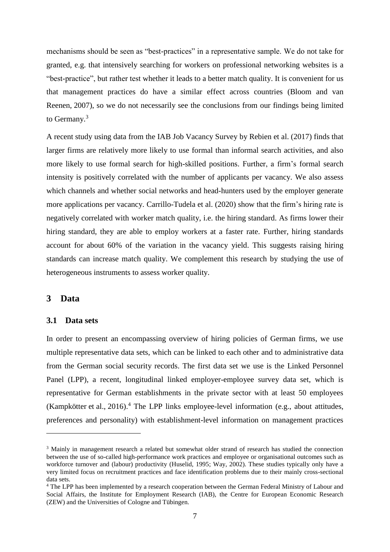mechanisms should be seen as "best-practices" in a representative sample. We do not take for granted, e.g. that intensively searching for workers on professional networking websites is a "best-practice", but rather test whether it leads to a better match quality. It is convenient for us that management practices do have a similar effect across countries (Bloom and van Reenen, 2007), so we do not necessarily see the conclusions from our findings being limited to Germany.<sup>3</sup>

A recent study using data from the IAB Job Vacancy Survey by Rebien et al. (2017) finds that larger firms are relatively more likely to use formal than informal search activities, and also more likely to use formal search for high-skilled positions. Further, a firm's formal search intensity is positively correlated with the number of applicants per vacancy. We also assess which channels and whether social networks and head-hunters used by the employer generate more applications per vacancy. Carrillo-Tudela et al. (2020) show that the firm's hiring rate is negatively correlated with worker match quality, i.e. the hiring standard. As firms lower their hiring standard, they are able to employ workers at a faster rate. Further, hiring standards account for about 60% of the variation in the vacancy yield. This suggests raising hiring standards can increase match quality. We complement this research by studying the use of heterogeneous instruments to assess worker quality.

#### **3 Data**

 $\overline{a}$ 

#### **3.1 Data sets**

In order to present an encompassing overview of hiring policies of German firms, we use multiple representative data sets, which can be linked to each other and to administrative data from the German social security records. The first data set we use is the Linked Personnel Panel (LPP), a recent, longitudinal linked employer-employee survey data set, which is representative for German establishments in the private sector with at least 50 employees (Kampkötter et al., 2016).<sup>4</sup> The LPP links employee-level information (e.g., about attitudes, preferences and personality) with establishment-level information on management practices

<sup>&</sup>lt;sup>3</sup> Mainly in management research a related but somewhat older strand of research has studied the connection between the use of so-called high-performance work practices and employee or organisational outcomes such as workforce turnover and (labour) productivity (Huselid, 1995; Way, 2002). These studies typically only have a very limited focus on recruitment practices and face identification problems due to their mainly cross-sectional data sets.

<sup>&</sup>lt;sup>4</sup> The LPP has been implemented by a research cooperation between the German Federal Ministry of Labour and Social Affairs, the Institute for Employment Research (IAB), the Centre for European Economic Research (ZEW) and the Universities of Cologne and Tübingen.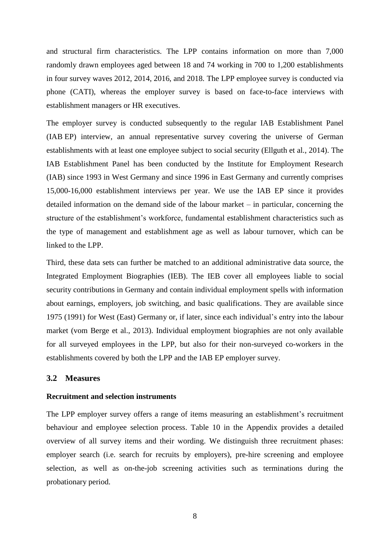and structural firm characteristics. The LPP contains information on more than 7,000 randomly drawn employees aged between 18 and 74 working in 700 to 1,200 establishments in four survey waves 2012, 2014, 2016, and 2018. The LPP employee survey is conducted via phone (CATI), whereas the employer survey is based on face-to-face interviews with establishment managers or HR executives.

The employer survey is conducted subsequently to the regular IAB Establishment Panel (IAB EP) interview, an annual representative survey covering the universe of German establishments with at least one employee subject to social security (Ellguth et al., 2014). The IAB Establishment Panel has been conducted by the Institute for Employment Research (IAB) since 1993 in West Germany and since 1996 in East Germany and currently comprises 15,000-16,000 establishment interviews per year. We use the IAB EP since it provides detailed information on the demand side of the labour market – in particular, concerning the structure of the establishment's workforce, fundamental establishment characteristics such as the type of management and establishment age as well as labour turnover, which can be linked to the LPP.

Third, these data sets can further be matched to an additional administrative data source, the Integrated Employment Biographies (IEB). The IEB cover all employees liable to social security contributions in Germany and contain individual employment spells with information about earnings, employers, job switching, and basic qualifications. They are available since 1975 (1991) for West (East) Germany or, if later, since each individual's entry into the labour market (vom Berge et al., 2013). Individual employment biographies are not only available for all surveyed employees in the LPP, but also for their non-surveyed co-workers in the establishments covered by both the LPP and the IAB EP employer survey.

#### <span id="page-9-0"></span>**3.2 Measures**

#### **Recruitment and selection instruments**

The LPP employer survey offers a range of items measuring an establishment's recruitment behaviour and employee selection process. [Table 10](#page-46-0) in the Appendix provides a detailed overview of all survey items and their wording. We distinguish three recruitment phases: employer search (i.e. search for recruits by employers), pre-hire screening and employee selection, as well as on-the-job screening activities such as terminations during the probationary period.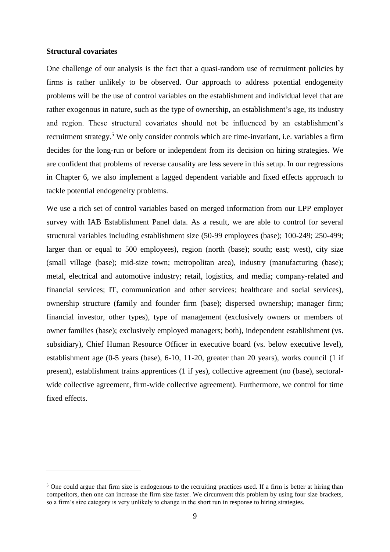#### **Structural covariates**

 $\overline{a}$ 

One challenge of our analysis is the fact that a quasi-random use of recruitment policies by firms is rather unlikely to be observed. Our approach to address potential endogeneity problems will be the use of control variables on the establishment and individual level that are rather exogenous in nature, such as the type of ownership, an establishment's age, its industry and region. These structural covariates should not be influenced by an establishment's recruitment strategy.<sup>5</sup> We only consider controls which are time-invariant, i.e. variables a firm decides for the long-run or before or independent from its decision on hiring strategies. We are confident that problems of reverse causality are less severe in this setup. In our regressions in Chapter [6,](#page-26-0) we also implement a lagged dependent variable and fixed effects approach to tackle potential endogeneity problems.

We use a rich set of control variables based on merged information from our LPP employer survey with IAB Establishment Panel data. As a result, we are able to control for several structural variables including establishment size (50-99 employees (base); 100-249; 250-499; larger than or equal to 500 employees), region (north (base); south; east; west), city size (small village (base); mid-size town; metropolitan area), industry (manufacturing (base); metal, electrical and automotive industry; retail, logistics, and media; company-related and financial services; IT, communication and other services; healthcare and social services), ownership structure (family and founder firm (base); dispersed ownership; manager firm; financial investor, other types), type of management (exclusively owners or members of owner families (base); exclusively employed managers; both), independent establishment (vs. subsidiary), Chief Human Resource Officer in executive board (vs. below executive level), establishment age (0-5 years (base), 6-10, 11-20, greater than 20 years), works council (1 if present), establishment trains apprentices (1 if yes), collective agreement (no (base), sectoralwide collective agreement, firm-wide collective agreement). Furthermore, we control for time fixed effects.

<sup>&</sup>lt;sup>5</sup> One could argue that firm size is endogenous to the recruiting practices used. If a firm is better at hiring than competitors, then one can increase the firm size faster. We circumvent this problem by using four size brackets, so a firm's size category is very unlikely to change in the short run in response to hiring strategies.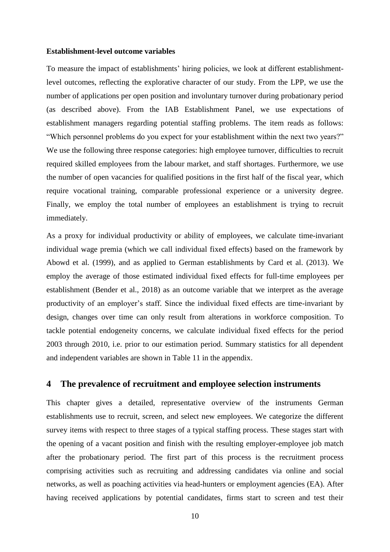#### **Establishment-level outcome variables**

To measure the impact of establishments' hiring policies, we look at different establishmentlevel outcomes, reflecting the explorative character of our study. From the LPP, we use the number of applications per open position and involuntary turnover during probationary period (as described above). From the IAB Establishment Panel, we use expectations of establishment managers regarding potential staffing problems. The item reads as follows: "Which personnel problems do you expect for your establishment within the next two years?" We use the following three response categories: high employee turnover, difficulties to recruit required skilled employees from the labour market, and staff shortages. Furthermore, we use the number of open vacancies for qualified positions in the first half of the fiscal year, which require vocational training, comparable professional experience or a university degree. Finally, we employ the total number of employees an establishment is trying to recruit immediately.

As a proxy for individual productivity or ability of employees, we calculate time-invariant individual wage premia (which we call individual fixed effects) based on the framework by Abowd et al. (1999), and as applied to German establishments by Card et al. (2013). We employ the average of those estimated individual fixed effects for full-time employees per establishment (Bender et al., 2018) as an outcome variable that we interpret as the average productivity of an employer's staff. Since the individual fixed effects are time-invariant by design, changes over time can only result from alterations in workforce composition. To tackle potential endogeneity concerns, we calculate individual fixed effects for the period 2003 through 2010, i.e. prior to our estimation period. Summary statistics for all dependent and independent variables are shown in [Table 11](#page-48-0) in the appendix.

#### <span id="page-11-0"></span>**4 The prevalence of recruitment and employee selection instruments**

This chapter gives a detailed, representative overview of the instruments German establishments use to recruit, screen, and select new employees. We categorize the different survey items with respect to three stages of a typical staffing process. These stages start with the opening of a vacant position and finish with the resulting employer-employee job match after the probationary period. The first part of this process is the recruitment process comprising activities such as recruiting and addressing candidates via online and social networks, as well as poaching activities via head-hunters or employment agencies (EA). After having received applications by potential candidates, firms start to screen and test their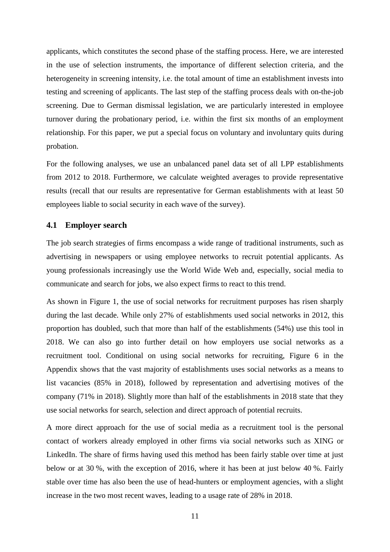applicants, which constitutes the second phase of the staffing process. Here, we are interested in the use of selection instruments, the importance of different selection criteria, and the heterogeneity in screening intensity, i.e. the total amount of time an establishment invests into testing and screening of applicants. The last step of the staffing process deals with on-the-job screening. Due to German dismissal legislation, we are particularly interested in employee turnover during the probationary period, i.e. within the first six months of an employment relationship. For this paper, we put a special focus on voluntary and involuntary quits during probation.

For the following analyses, we use an unbalanced panel data set of all LPP establishments from 2012 to 2018. Furthermore, we calculate weighted averages to provide representative results (recall that our results are representative for German establishments with at least 50 employees liable to social security in each wave of the survey).

#### **4.1 Employer search**

The job search strategies of firms encompass a wide range of traditional instruments, such as advertising in newspapers or using employee networks to recruit potential applicants. As young professionals increasingly use the World Wide Web and, especially, social media to communicate and search for jobs, we also expect firms to react to this trend.

As shown in [Figure 1,](#page-43-0) the use of social networks for recruitment purposes has risen sharply during the last decade. While only 27% of establishments used social networks in 2012, this proportion has doubled, such that more than half of the establishments (54%) use this tool in 2018. We can also go into further detail on how employers use social networks as a recruitment tool. Conditional on using social networks for recruiting, [Figure 6](#page-53-0) in the Appendix shows that the vast majority of establishments uses social networks as a means to list vacancies (85% in 2018), followed by representation and advertising motives of the company (71% in 2018). Slightly more than half of the establishments in 2018 state that they use social networks for search, selection and direct approach of potential recruits.

A more direct approach for the use of social media as a recruitment tool is the personal contact of workers already employed in other firms via social networks such as XING or LinkedIn. The share of firms having used this method has been fairly stable over time at just below or at 30 %, with the exception of 2016, where it has been at just below 40 %. Fairly stable over time has also been the use of head-hunters or employment agencies, with a slight increase in the two most recent waves, leading to a usage rate of 28% in 2018.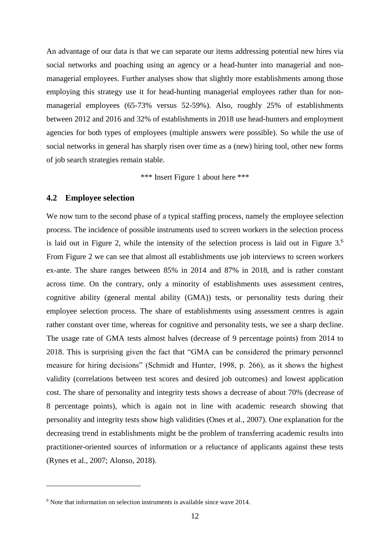An advantage of our data is that we can separate our items addressing potential new hires via social networks and poaching using an agency or a head-hunter into managerial and nonmanagerial employees. Further analyses show that slightly more establishments among those employing this strategy use it for head-hunting managerial employees rather than for nonmanagerial employees (65-73% versus 52-59%). Also, roughly 25% of establishments between 2012 and 2016 and 32% of establishments in 2018 use head-hunters and employment agencies for both types of employees (multiple answers were possible). So while the use of social networks in general has sharply risen over time as a (new) hiring tool, other new forms of job search strategies remain stable.

\*\*\* Insert [Figure 1](#page-43-0) about here \*\*\*

#### **4.2 Employee selection**

 $\overline{a}$ 

We now turn to the second phase of a typical staffing process, namely the employee selection process. The incidence of possible instruments used to screen workers in the selection process is laid out in [Figure 2,](#page-43-1) while the intensity of the selection process is laid out in Figure  $3.6$ From [Figure 2](#page-43-1) we can see that almost all establishments use job interviews to screen workers ex-ante. The share ranges between 85% in 2014 and 87% in 2018, and is rather constant across time. On the contrary, only a minority of establishments uses assessment centres, cognitive ability (general mental ability (GMA)) tests, or personality tests during their employee selection process. The share of establishments using assessment centres is again rather constant over time, whereas for cognitive and personality tests, we see a sharp decline. The usage rate of GMA tests almost halves (decrease of 9 percentage points) from 2014 to 2018. This is surprising given the fact that "GMA can be considered the primary personnel measure for hiring decisions" (Schmidt and Hunter, 1998, p. 266), as it shows the highest validity (correlations between test scores and desired job outcomes) and lowest application cost. The share of personality and integrity tests shows a decrease of about 70% (decrease of 8 percentage points), which is again not in line with academic research showing that personality and integrity tests show high validities (Ones et al., 2007). One explanation for the decreasing trend in establishments might be the problem of transferring academic results into practitioner-oriented sources of information or a reluctance of applicants against these tests (Rynes et al., 2007; Alonso, 2018).

<sup>&</sup>lt;sup>6</sup> Note that information on selection instruments is available since wave 2014.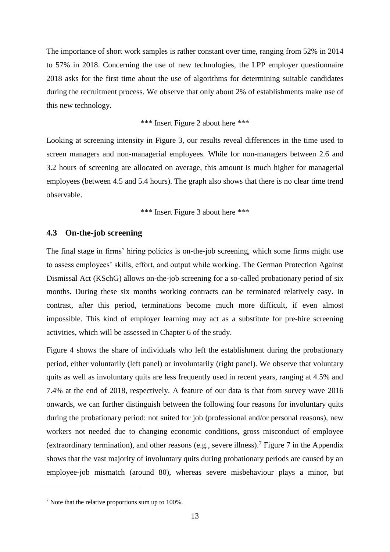The importance of short work samples is rather constant over time, ranging from 52% in 2014 to 57% in 2018. Concerning the use of new technologies, the LPP employer questionnaire 2018 asks for the first time about the use of algorithms for determining suitable candidates during the recruitment process. We observe that only about 2% of establishments make use of this new technology.

\*\*\* Insert [Figure 2](#page-43-1) about here \*\*\*

Looking at screening intensity in [Figure 3,](#page-44-0) our results reveal differences in the time used to screen managers and non-managerial employees. While for non-managers between 2.6 and 3.2 hours of screening are allocated on average, this amount is much higher for managerial employees (between 4.5 and 5.4 hours). The graph also shows that there is no clear time trend observable.

\*\*\* Insert [Figure 3](#page-44-0) about here \*\*\*

#### **4.3 On-the-job screening**

The final stage in firms' hiring policies is on-the-job screening, which some firms might use to assess employees' skills, effort, and output while working. The German Protection Against Dismissal Act (KSchG) allows on-the-job screening for a so-called probationary period of six months. During these six months working contracts can be terminated relatively easy. In contrast, after this period, terminations become much more difficult, if even almost impossible. This kind of employer learning may act as a substitute for pre-hire screening activities, which will be assessed in Chapter 6 of the study.

[Figure 4](#page-44-1) shows the share of individuals who left the establishment during the probationary period, either voluntarily (left panel) or involuntarily (right panel). We observe that voluntary quits as well as involuntary quits are less frequently used in recent years, ranging at 4.5% and 7.4% at the end of 2018, respectively. A feature of our data is that from survey wave 2016 onwards, we can further distinguish between the following four reasons for involuntary quits during the probationary period: not suited for job (professional and/or personal reasons), new workers not needed due to changing economic conditions, gross misconduct of employee (extraordinary termination), and other reasons (e.g., severe illness).<sup>7</sup> [Figure 7](#page-53-1) in the Appendix shows that the vast majority of involuntary quits during probationary periods are caused by an employee-job mismatch (around 80), whereas severe misbehaviour plays a minor, but

 $\overline{a}$ 

<sup>7</sup> Note that the relative proportions sum up to 100%.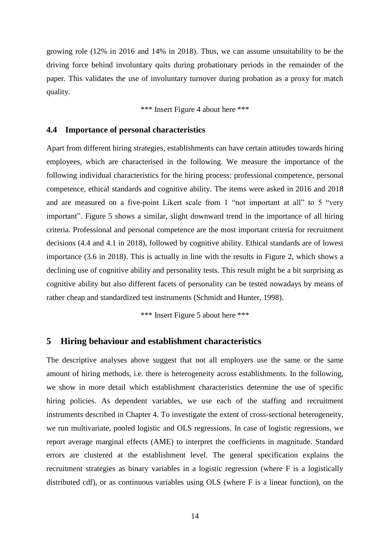growing role (12% in 2016 and 14% in 2018). Thus, we can assume unsuitability to be the driving force behind involuntary quits during probationary periods in the remainder of the paper. This validates the use of involuntary turnover during probation as a proxy for match quality.

\*\*\* Insert [Figure 4](#page-44-1) about here \*\*\*

#### **4.4 Importance of personal characteristics**

Apart from different hiring strategies, establishments can have certain attitudes towards hiring employees, which are characterised in the following. We measure the importance of the following individual characteristics for the hiring process: professional competence, personal competence, ethical standards and cognitive ability. The items were asked in 2016 and 2018 and are measured on a five-point Likert scale from 1 "not important at all" to 5 "very important". [Figure 5](#page-45-0) shows a similar, slight downward trend in the importance of all hiring criteria. Professional and personal competence are the most important criteria for recruitment decisions (4.4 and 4.1 in 2018), followed by cognitive ability. Ethical standards are of lowest importance (3.6 in 2018). This is actually in line with the results in [Figure 2,](#page-43-1) which shows a declining use of cognitive ability and personality tests. This result might be a bit surprising as cognitive ability but also different facets of personality can be tested nowadays by means of rather cheap and standardized test instruments (Schmidt and Hunter, 1998).

\*\*\* Insert [Figure 5](#page-45-0) about here \*\*\*

#### **5 Hiring behaviour and establishment characteristics**

The descriptive analyses above suggest that not all employers use the same or the same amount of hiring methods, i.e. there is heterogeneity across establishments. In the following, we show in more detail which establishment characteristics determine the use of specific hiring policies. As dependent variables, we use each of the staffing and recruitment instruments described in Chapter [4.](#page-11-0) To investigate the extent of cross-sectional heterogeneity, we run multivariate, pooled logistic and OLS regressions. In case of logistic regressions, we report average marginal effects (AME) to interpret the coefficients in magnitude. Standard errors are clustered at the establishment level. The general specification explains the recruitment strategies as binary variables in a logistic regression (where F is a logistically distributed cdf), or as continuous variables using OLS (where F is a linear function), on the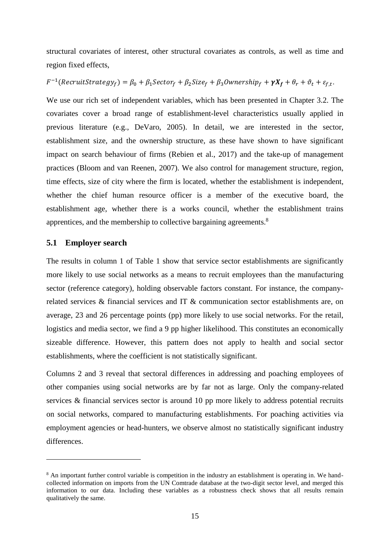structural covariates of interest, other structural covariates as controls, as well as time and region fixed effects,

### $F^{-1}(RecruitStrategy_f) = \beta_0 + \beta_1 Sector_f + \beta_2 Sie_f + \beta_3 Ownership_f + \gamma X_f + \theta_r + \vartheta_t + \varepsilon_{f,t}.$

We use our rich set of independent variables, which has been presented in Chapter [3.2.](#page-9-0) The covariates cover a broad range of establishment-level characteristics usually applied in previous literature (e.g., DeVaro, 2005). In detail, we are interested in the sector, establishment size, and the ownership structure, as these have shown to have significant impact on search behaviour of firms (Rebien et al., 2017) and the take-up of management practices (Bloom and van Reenen, 2007). We also control for management structure, region, time effects, size of city where the firm is located, whether the establishment is independent, whether the chief human resource officer is a member of the executive board, the establishment age, whether there is a works council, whether the establishment trains apprentices, and the membership to collective bargaining agreements.<sup>8</sup>

#### **5.1 Employer search**

 $\overline{a}$ 

The results in column 1 of [Table 1](#page-17-0) show that service sector establishments are significantly more likely to use social networks as a means to recruit employees than the manufacturing sector (reference category), holding observable factors constant. For instance, the companyrelated services & financial services and IT & communication sector establishments are, on average, 23 and 26 percentage points (pp) more likely to use social networks. For the retail, logistics and media sector, we find a 9 pp higher likelihood. This constitutes an economically sizeable difference. However, this pattern does not apply to health and social sector establishments, where the coefficient is not statistically significant.

Columns 2 and 3 reveal that sectoral differences in addressing and poaching employees of other companies using social networks are by far not as large. Only the company-related services & financial services sector is around 10 pp more likely to address potential recruits on social networks, compared to manufacturing establishments. For poaching activities via employment agencies or head-hunters, we observe almost no statistically significant industry differences.

<sup>&</sup>lt;sup>8</sup> An important further control variable is competition in the industry an establishment is operating in. We handcollected information on imports from the UN Comtrade database at the two-digit sector level, and merged this information to our data. Including these variables as a robustness check shows that all results remain qualitatively the same.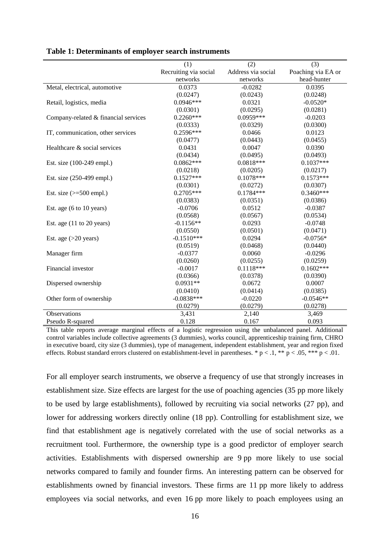|                                             | (1)                     | (2)                | (3)                |
|---------------------------------------------|-------------------------|--------------------|--------------------|
|                                             | Recruiting via social   | Address via social | Poaching via EA or |
|                                             | networks                | networks           | head-hunter        |
| Metal, electrical, automotive               | 0.0373                  | $-0.0282$          | 0.0395             |
|                                             | (0.0247)                | (0.0243)           | (0.0248)           |
| Retail, logistics, media                    | $0.0946***$             | 0.0321             | $-0.0520*$         |
|                                             | (0.0301)                | (0.0295)           | (0.0281)           |
| Company-related & financial services        | $0.2260***$             | 0.0959***          | $-0.0203$          |
|                                             |                         |                    |                    |
|                                             | (0.0333)<br>$0.2596***$ | (0.0329)<br>0.0466 | (0.0300)<br>0.0123 |
| IT, communication, other services           |                         |                    |                    |
|                                             | (0.0477)                | (0.0443)           | (0.0455)           |
| Healthcare & social services                | 0.0431                  | 0.0047             | 0.0390             |
|                                             | (0.0434)                | (0.0495)           | (0.0493)           |
| Est. size (100-249 empl.)                   | $0.0862***$             | $0.0818***$        | $0.1037***$        |
|                                             | (0.0218)                | (0.0205)           | (0.0217)           |
| Est. size (250-499 empl.)                   | $0.1527***$             | $0.1078***$        | $0.1573***$        |
|                                             | (0.0301)                | (0.0272)           | (0.0307)           |
| Est. size $(>=500$ empl.)                   | $0.2705***$             | $0.1784***$        | $0.3460***$        |
|                                             | (0.0383)                | (0.0351)           | (0.0386)           |
| Est. age $(6 \text{ to } 10 \text{ years})$ | $-0.0706$               | 0.0512             | $-0.0387$          |
|                                             | (0.0568)                | (0.0567)           | (0.0534)           |
| Est. age (11 to 20 years)                   | $-0.1156**$             | 0.0293             | $-0.0748$          |
|                                             | (0.0550)                | (0.0501)           | (0.0471)           |
| Est. age $(>20$ years)                      | $-0.1510***$            | 0.0294             | $-0.0756*$         |
|                                             | (0.0519)                | (0.0468)           | (0.0440)           |
| Manager firm                                | $-0.0377$               | 0.0060             | $-0.0296$          |
|                                             | (0.0260)                | (0.0255)           | (0.0259)           |
| Financial investor                          | $-0.0017$               | $0.1118***$        | $0.1602***$        |
|                                             | (0.0366)                | (0.0378)           | (0.0390)           |
| Dispersed ownership                         | $0.0931**$              | 0.0672             | 0.0007             |
|                                             | (0.0410)                | (0.0414)           | (0.0385)           |
| Other form of ownership                     | $-0.0838***$            | $-0.0220$          | $-0.0546**$        |
|                                             | (0.0279)                | (0.0279)           | (0.0278)           |
| Observations                                | 3,431                   | 2,140              | 3,469              |
| Pseudo R-squared                            | 0.128                   | 0.167              | 0.093              |

#### <span id="page-17-0"></span>**Table 1: Determinants of employer search instruments**

This table reports average marginal effects of a logistic regression using the unbalanced panel. Additional control variables include collective agreements (3 dummies), works council, apprenticeship training firm, CHRO in executive board, city size (3 dummies), type of management, independent establishment, year and region fixed effects. Robust standard errors clustered on establishment-level in parentheses. \*  $p < 0.1$ , \*\*  $p < 0.05$ , \*\*\*  $p < 0.01$ .

For all employer search instruments, we observe a frequency of use that strongly increases in establishment size. Size effects are largest for the use of poaching agencies (35 pp more likely to be used by large establishments), followed by recruiting via social networks (27 pp), and lower for addressing workers directly online (18 pp). Controlling for establishment size, we find that establishment age is negatively correlated with the use of social networks as a recruitment tool. Furthermore, the ownership type is a good predictor of employer search activities. Establishments with dispersed ownership are 9 pp more likely to use social networks compared to family and founder firms. An interesting pattern can be observed for establishments owned by financial investors. These firms are 11 pp more likely to address employees via social networks, and even 16 pp more likely to poach employees using an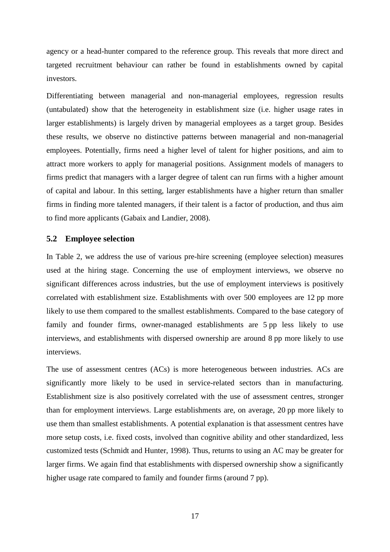agency or a head-hunter compared to the reference group. This reveals that more direct and targeted recruitment behaviour can rather be found in establishments owned by capital investors.

Differentiating between managerial and non-managerial employees, regression results (untabulated) show that the heterogeneity in establishment size (i.e. higher usage rates in larger establishments) is largely driven by managerial employees as a target group. Besides these results, we observe no distinctive patterns between managerial and non-managerial employees. Potentially, firms need a higher level of talent for higher positions, and aim to attract more workers to apply for managerial positions. Assignment models of managers to firms predict that managers with a larger degree of talent can run firms with a higher amount of capital and labour. In this setting, larger establishments have a higher return than smaller firms in finding more talented managers, if their talent is a factor of production, and thus aim to find more applicants (Gabaix and Landier, 2008).

#### **5.2 Employee selection**

In [Table](#page-20-0) 2, we address the use of various pre-hire screening (employee selection) measures used at the hiring stage. Concerning the use of employment interviews, we observe no significant differences across industries, but the use of employment interviews is positively correlated with establishment size. Establishments with over 500 employees are 12 pp more likely to use them compared to the smallest establishments. Compared to the base category of family and founder firms, owner-managed establishments are 5 pp less likely to use interviews, and establishments with dispersed ownership are around 8 pp more likely to use interviews.

The use of assessment centres (ACs) is more heterogeneous between industries. ACs are significantly more likely to be used in service-related sectors than in manufacturing. Establishment size is also positively correlated with the use of assessment centres, stronger than for employment interviews. Large establishments are, on average, 20 pp more likely to use them than smallest establishments. A potential explanation is that assessment centres have more setup costs, i.e. fixed costs, involved than cognitive ability and other standardized, less customized tests (Schmidt and Hunter, 1998). Thus, returns to using an AC may be greater for larger firms. We again find that establishments with dispersed ownership show a significantly higher usage rate compared to family and founder firms (around 7 pp).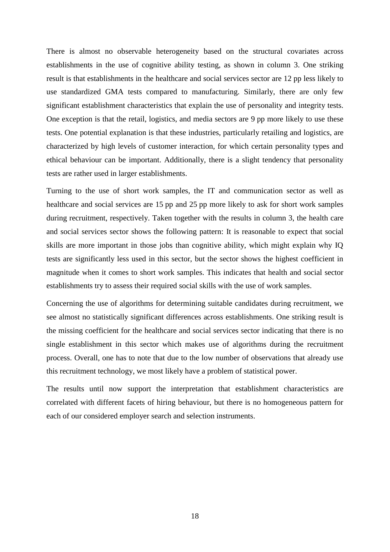There is almost no observable heterogeneity based on the structural covariates across establishments in the use of cognitive ability testing, as shown in column 3. One striking result is that establishments in the healthcare and social services sector are 12 pp less likely to use standardized GMA tests compared to manufacturing. Similarly, there are only few significant establishment characteristics that explain the use of personality and integrity tests. One exception is that the retail, logistics, and media sectors are 9 pp more likely to use these tests. One potential explanation is that these industries, particularly retailing and logistics, are characterized by high levels of customer interaction, for which certain personality types and ethical behaviour can be important. Additionally, there is a slight tendency that personality tests are rather used in larger establishments.

Turning to the use of short work samples, the IT and communication sector as well as healthcare and social services are 15 pp and 25 pp more likely to ask for short work samples during recruitment, respectively. Taken together with the results in column 3, the health care and social services sector shows the following pattern: It is reasonable to expect that social skills are more important in those jobs than cognitive ability, which might explain why IQ tests are significantly less used in this sector, but the sector shows the highest coefficient in magnitude when it comes to short work samples. This indicates that health and social sector establishments try to assess their required social skills with the use of work samples.

Concerning the use of algorithms for determining suitable candidates during recruitment, we see almost no statistically significant differences across establishments. One striking result is the missing coefficient for the healthcare and social services sector indicating that there is no single establishment in this sector which makes use of algorithms during the recruitment process. Overall, one has to note that due to the low number of observations that already use this recruitment technology, we most likely have a problem of statistical power.

The results until now support the interpretation that establishment characteristics are correlated with different facets of hiring behaviour, but there is no homogeneous pattern for each of our considered employer search and selection instruments.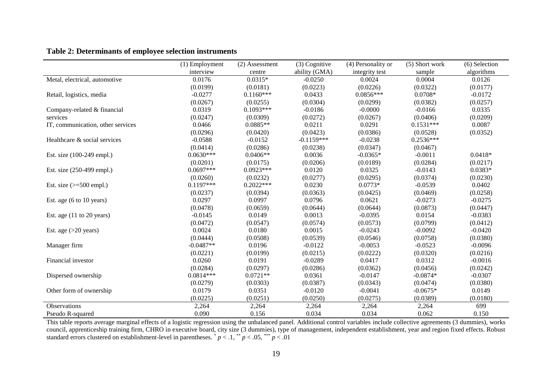|                                             | (1) Employment | (2) Assessment | (3) Cognitive | (4) Personality or | (5) Short work | (6) Selection |
|---------------------------------------------|----------------|----------------|---------------|--------------------|----------------|---------------|
|                                             | interview      | centre         | ability (GMA) | integrity test     | sample         | algorithms    |
| Metal, electrical, automotive               | 0.0176         | $0.0315*$      | $-0.0250$     | 0.0024             | 0.0004         | 0.0126        |
|                                             | (0.0199)       | (0.0181)       | (0.0223)      | (0.0226)           | (0.0322)       | (0.0177)      |
| Retail, logistics, media                    | $-0.0277$      | $0.1160***$    | 0.0433        | $0.0856***$        | $0.0708*$      | $-0.0172$     |
|                                             | (0.0267)       | (0.0255)       | (0.0304)      | (0.0299)           | (0.0382)       | (0.0257)      |
| Company-related & financial                 | 0.0319         | $0.1093***$    | $-0.0186$     | $-0.0000$          | $-0.0166$      | 0.0335        |
| services                                    | (0.0247)       | (0.0309)       | (0.0272)      | (0.0267)           | (0.0406)       | (0.0209)      |
| IT, communication, other services           | 0.0466         | $0.0885**$     | 0.0211        | 0.0291             | $0.1531***$    | 0.0087        |
|                                             | (0.0296)       | (0.0420)       | (0.0423)      | (0.0386)           | (0.0528)       | (0.0352)      |
| Healthcare & social services                | $-0.0588$      | $-0.0152$      | $-0.1159***$  | $-0.0238$          | $0.2536***$    |               |
|                                             | (0.0414)       | (0.0286)       | (0.0238)      | (0.0347)           | (0.0467)       |               |
| Est. size (100-249 empl.)                   | $0.0630***$    | $0.0406**$     | 0.0036        | $-0.0365*$         | $-0.0011$      | $0.0418*$     |
|                                             | (0.0201)       | (0.0175)       | (0.0206)      | (0.0189)           | (0.0284)       | (0.0217)      |
| Est. size (250-499 empl.)                   | $0.0697***$    | $0.0923***$    | 0.0120        | 0.0325             | $-0.0143$      | $0.0383*$     |
|                                             | (0.0260)       | (0.0232)       | (0.0277)      | (0.0295)           | (0.0374)       | (0.0230)      |
| Est. size $(>=500$ empl.)                   | $0.1197***$    | $0.2022***$    | 0.0230        | $0.0773*$          | $-0.0539$      | 0.0402        |
|                                             | (0.0237)       | (0.0394)       | (0.0363)      | (0.0425)           | (0.0469)       | (0.0258)      |
| Est. age $(6 \text{ to } 10 \text{ years})$ | 0.0297         | 0.0997         | 0.0796        | 0.0621             | $-0.0273$      | $-0.0275$     |
|                                             | (0.0478)       | (0.0659)       | (0.0644)      | (0.0644)           | (0.0873)       | (0.0447)      |
| Est. age $(11$ to 20 years)                 | $-0.0145$      | 0.0149         | 0.0013        | $-0.0395$          | 0.0154         | $-0.0383$     |
|                                             | (0.0472)       | (0.0547)       | (0.0574)      | (0.0573)           | (0.0799)       | (0.0412)      |
| Est. age $(>20$ years)                      | 0.0024         | 0.0180         | 0.0015        | $-0.0243$          | $-0.0092$      | $-0.0420$     |
|                                             | (0.0444)       | (0.0508)       | (0.0539)      | (0.0546)           | (0.0758)       | (0.0380)      |
| Manager firm                                | $-0.0487**$    | 0.0196         | $-0.0122$     | $-0.0053$          | $-0.0523$      | $-0.0096$     |
|                                             | (0.0221)       | (0.0199)       | (0.0215)      | (0.0222)           | (0.0320)       | (0.0216)      |
| Financial investor                          | 0.0260         | 0.0191         | $-0.0289$     | 0.0417             | 0.0312         | $-0.0016$     |
|                                             | (0.0284)       | (0.0297)       | (0.0286)      | (0.0362)           | (0.0456)       | (0.0242)      |
| Dispersed ownership                         | $0.0814***$    | $0.0721**$     | 0.0361        | $-0.0147$          | $-0.0874*$     | $-0.0307$     |
|                                             | (0.0279)       | (0.0303)       | (0.0387)      | (0.0343)           | (0.0474)       | (0.0380)      |
| Other form of ownership                     | 0.0179         | 0.0351         | $-0.0120$     | $-0.0041$          | $-0.0675*$     | 0.0149        |
|                                             | (0.0225)       | (0.0251)       | (0.0250)      | (0.0275)           | (0.0389)       | (0.0180)      |
| Observations                                | 2,264          | 2,264          | 2,264         | 2,264              | 2,264          | 699           |
| Pseudo R-squared                            | 0.090          | 0.156          | 0.034         | 0.034              | 0.062          | 0.150         |

<span id="page-20-0"></span>This table reports average marginal effects of a logistic regression using the unbalanced panel. Additional control variables include collective agreements (3 dummies), works council, apprenticeship training firm, CHRO in executive board, city size (3 dummies), type of management, independent establishment, year and region fixed effects. Robust standard errors clustered on establishment-level in parentheses.  $p < 0.1$ ,  $p < 0.05$ ,  $p = 0.01$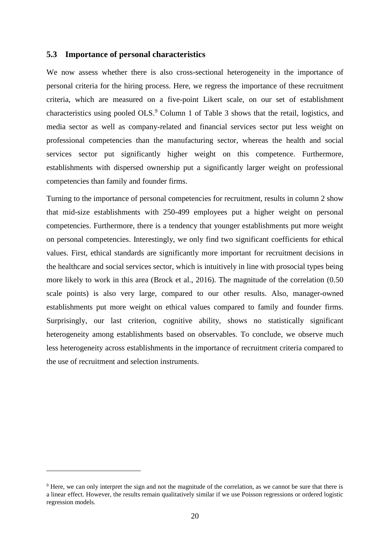#### **5.3 Importance of personal characteristics**

We now assess whether there is also cross-sectional heterogeneity in the importance of personal criteria for the hiring process. Here, we regress the importance of these recruitment criteria, which are measured on a five-point Likert scale, on our set of establishment characteristics using pooled OLS.<sup>9</sup> Column 1 of [Table 3](#page-22-0) shows that the retail, logistics, and media sector as well as company-related and financial services sector put less weight on professional competencies than the manufacturing sector, whereas the health and social services sector put significantly higher weight on this competence. Furthermore, establishments with dispersed ownership put a significantly larger weight on professional competencies than family and founder firms.

Turning to the importance of personal competencies for recruitment, results in column 2 show that mid-size establishments with 250-499 employees put a higher weight on personal competencies. Furthermore, there is a tendency that younger establishments put more weight on personal competencies. Interestingly, we only find two significant coefficients for ethical values. First, ethical standards are significantly more important for recruitment decisions in the healthcare and social services sector, which is intuitively in line with prosocial types being more likely to work in this area (Brock et al., 2016). The magnitude of the correlation (0.50 scale points) is also very large, compared to our other results. Also, manager-owned establishments put more weight on ethical values compared to family and founder firms. Surprisingly, our last criterion, cognitive ability, shows no statistically significant heterogeneity among establishments based on observables. To conclude, we observe much less heterogeneity across establishments in the importance of recruitment criteria compared to the use of recruitment and selection instruments.

 $\overline{a}$ 

<sup>&</sup>lt;sup>9</sup> Here, we can only interpret the sign and not the magnitude of the correlation, as we cannot be sure that there is a linear effect. However, the results remain qualitatively similar if we use Poisson regressions or ordered logistic regression models.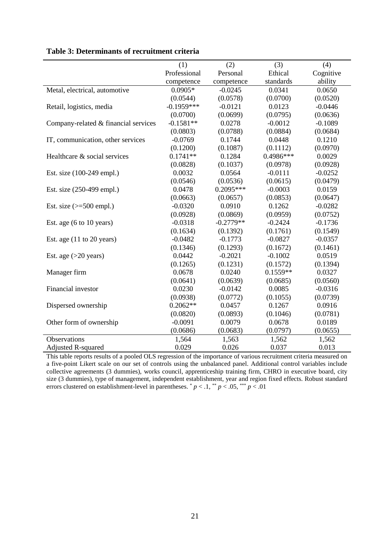|                                             | (1)          | (2)         | (3)        | (4)       |
|---------------------------------------------|--------------|-------------|------------|-----------|
|                                             | Professional | Personal    | Ethical    | Cognitive |
|                                             | competence   | competence  | standards  | ability   |
| Metal, electrical, automotive               | $0.0905*$    | $-0.0245$   | 0.0341     | 0.0650    |
|                                             | (0.0544)     | (0.0578)    | (0.0700)   | (0.0520)  |
| Retail, logistics, media                    | $-0.1959***$ | $-0.0121$   | 0.0123     | $-0.0446$ |
|                                             | (0.0700)     | (0.0699)    | (0.0795)   | (0.0636)  |
| Company-related & financial services        | $-0.1581**$  | 0.0278      | $-0.0012$  | $-0.1089$ |
|                                             | (0.0803)     | (0.0788)    | (0.0884)   | (0.0684)  |
| IT, communication, other services           | $-0.0769$    | 0.1744      | 0.0448     | 0.1210    |
|                                             | (0.1200)     | (0.1087)    | (0.1112)   | (0.0970)  |
| Healthcare & social services                | $0.1741**$   | 0.1284      | 0.4986***  | 0.0029    |
|                                             | (0.0828)     | (0.1037)    | (0.0978)   | (0.0928)  |
| Est. size (100-249 empl.)                   | 0.0032       | 0.0564      | $-0.0111$  | $-0.0252$ |
|                                             | (0.0546)     | (0.0536)    | (0.0615)   | (0.0479)  |
| Est. size (250-499 empl.)                   | 0.0478       | $0.2095***$ | $-0.0003$  | 0.0159    |
|                                             | (0.0663)     | (0.0657)    | (0.0853)   | (0.0647)  |
| Est. size $(>=500$ empl.)                   | $-0.0320$    | 0.0910      | 0.1262     | $-0.0282$ |
|                                             | (0.0928)     | (0.0869)    | (0.0959)   | (0.0752)  |
| Est. age $(6 \text{ to } 10 \text{ years})$ | $-0.0318$    | $-0.2779**$ | $-0.2424$  | $-0.1736$ |
|                                             | (0.1634)     | (0.1392)    | (0.1761)   | (0.1549)  |
| Est. age $(11$ to 20 years)                 | $-0.0482$    | $-0.1773$   | $-0.0827$  | $-0.0357$ |
|                                             | (0.1346)     | (0.1293)    | (0.1672)   | (0.1461)  |
| Est. age $(>20$ years)                      | 0.0442       | $-0.2021$   | $-0.1002$  | 0.0519    |
|                                             | (0.1265)     | (0.1231)    | (0.1572)   | (0.1394)  |
| Manager firm                                | 0.0678       | 0.0240      | $0.1559**$ | 0.0327    |
|                                             | (0.0641)     | (0.0639)    | (0.0685)   | (0.0560)  |
| Financial investor                          | 0.0230       | $-0.0142$   | 0.0085     | $-0.0316$ |
|                                             | (0.0938)     | (0.0772)    | (0.1055)   | (0.0739)  |
| Dispersed ownership                         | $0.2062**$   | 0.0457      | 0.1267     | 0.0916    |
|                                             | (0.0820)     | (0.0893)    | (0.1046)   | (0.0781)  |
| Other form of ownership                     | $-0.0091$    | 0.0079      | 0.0678     | 0.0189    |
|                                             | (0.0686)     | (0.0683)    | (0.0797)   | (0.0655)  |
| Observations                                | 1,564        | 1,563       | 1,562      | 1,562     |
| <b>Adjusted R-squared</b>                   | 0.029        | 0.026       | 0.037      | 0.013     |

#### <span id="page-22-0"></span>**Table 3: Determinants of recruitment criteria**

l,

This table reports results of a pooled OLS regression of the importance of various recruitment criteria measured on a five-point Likert scale on our set of controls using the unbalanced panel. Additional control variables include collective agreements (3 dummies), works council, apprenticeship training firm, CHRO in executive board, city size (3 dummies), type of management, independent establishment, year and region fixed effects. Robust standard errors clustered on establishment-level in parentheses.  $p < 0.1$ ,  $p < 0.05$ ,  $p < 0.01$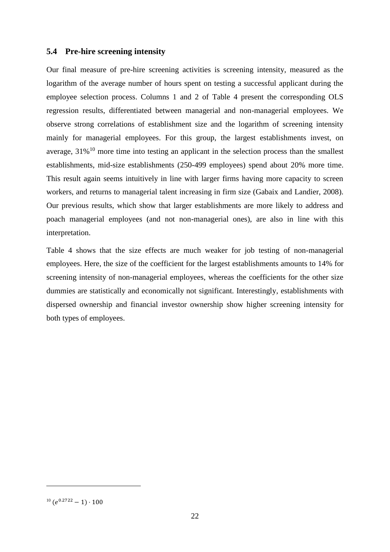#### **5.4 Pre-hire screening intensity**

Our final measure of pre-hire screening activities is screening intensity, measured as the logarithm of the average number of hours spent on testing a successful applicant during the employee selection process. Columns 1 and 2 of [Table 4](#page-24-0) present the corresponding OLS regression results, differentiated between managerial and non-managerial employees. We observe strong correlations of establishment size and the logarithm of screening intensity mainly for managerial employees. For this group, the largest establishments invest, on average,  $31\%$ <sup>10</sup> more time into testing an applicant in the selection process than the smallest establishments, mid-size establishments (250-499 employees) spend about 20% more time. This result again seems intuitively in line with larger firms having more capacity to screen workers, and returns to managerial talent increasing in firm size (Gabaix and Landier, 2008). Our previous results, which show that larger establishments are more likely to address and poach managerial employees (and not non-managerial ones), are also in line with this interpretation.

[Table 4](#page-24-0) shows that the size effects are much weaker for job testing of non-managerial employees. Here, the size of the coefficient for the largest establishments amounts to 14% for screening intensity of non-managerial employees, whereas the coefficients for the other size dummies are statistically and economically not significant. Interestingly, establishments with dispersed ownership and financial investor ownership show higher screening intensity for both types of employees.

 $\overline{a}$ 

 $10 (e^{0.2722} - 1) \cdot 100$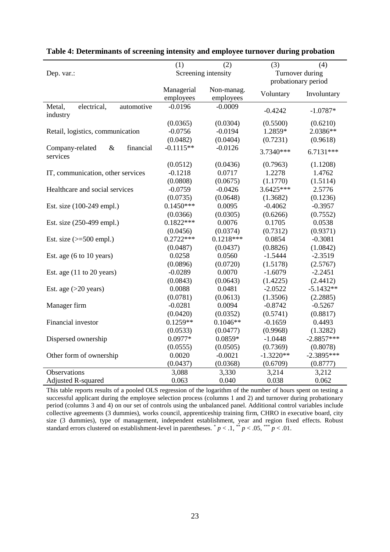|                                      | (1)         | (2)                 | (3)         | (4)                 |  |  |
|--------------------------------------|-------------|---------------------|-------------|---------------------|--|--|
| Dep. var.:                           |             | Screening intensity |             | Turnover during     |  |  |
|                                      |             |                     |             | probationary period |  |  |
|                                      | Managerial  | Non-manag.          |             |                     |  |  |
|                                      | employees   | employees           | Voluntary   | Involuntary         |  |  |
| electrical,<br>Metal,<br>automotive  | $-0.0196$   | $-0.0009$           | $-0.4242$   | $-1.0787*$          |  |  |
| industry                             |             |                     |             |                     |  |  |
|                                      | (0.0365)    | (0.0304)            | (0.5500)    | (0.6210)            |  |  |
| Retail, logistics, communication     | $-0.0756$   | $-0.0194$           | 1.2859*     | 2.0386**            |  |  |
|                                      | (0.0482)    | (0.0404)            | (0.7231)    | (0.9618)            |  |  |
| $\&$<br>financial<br>Company-related | $-0.1115**$ | $-0.0126$           | 3.7340***   |                     |  |  |
| services                             |             |                     |             | $6.7131***$         |  |  |
|                                      | (0.0512)    | (0.0436)            | (0.7963)    | (1.1208)            |  |  |
| IT, communication, other services    | $-0.1218$   | 0.0717              | 1.2278      | 1.4762              |  |  |
|                                      | (0.0808)    | (0.0675)            | (1.1770)    | (1.5114)            |  |  |
| Healthcare and social services       | $-0.0759$   | $-0.0426$           | 3.6425***   | 2.5776              |  |  |
|                                      | (0.0735)    | (0.0648)            | (1.3682)    | (0.1236)            |  |  |
| Est. size (100-249 empl.)            | $0.1450***$ | 0.0095              | $-0.4062$   | $-0.3957$           |  |  |
|                                      | (0.0366)    | (0.0305)            | (0.6266)    | (0.7552)            |  |  |
| Est. size (250-499 empl.)            | $0.1822***$ | 0.0076              | 0.1705      | 0.0538              |  |  |
|                                      | (0.0456)    | (0.0374)            | (0.7312)    | (0.9371)            |  |  |
| Est. size $(>=500$ empl.)            | $0.2722***$ | $0.1218***$         | 0.0854      | $-0.3081$           |  |  |
|                                      | (0.0487)    | (0.0437)            | (0.8826)    | (1.0842)            |  |  |
| Est. age (6 to 10 years)             | 0.0258      | 0.0560              | $-1.5444$   | $-2.3519$           |  |  |
|                                      | (0.0896)    | (0.0720)            | (1.5178)    | (2.5767)            |  |  |
| Est. age $(11$ to 20 years)          | $-0.0289$   | 0.0070              | $-1.6079$   | $-2.2451$           |  |  |
|                                      | (0.0843)    | (0.0643)            | (1.4225)    | (2.4412)            |  |  |
| Est. age $(>20$ years)               | 0.0088      | 0.0481              | $-2.0522$   | $-5.1432**$         |  |  |
|                                      | (0.0781)    | (0.0613)            | (1.3506)    | (2.2885)            |  |  |
| Manager firm                         | $-0.0281$   | 0.0094              | $-0.8742$   | $-0.5267$           |  |  |
|                                      | (0.0420)    | (0.0352)            | (0.5741)    | (0.8817)            |  |  |
| Financial investor                   | $0.1259**$  | $0.1046**$          | $-0.1659$   | 0.4493              |  |  |
|                                      | (0.0533)    | (0.0477)            | (0.9968)    | (1.3282)            |  |  |
| Dispersed ownership                  | $0.0977*$   | $0.0859*$           | $-1.0448$   | $-2.8857***$        |  |  |
|                                      | (0.0555)    | (0.0505)            | (0.7369)    | (0.8078)            |  |  |
| Other form of ownership              | 0.0020      | $-0.0021$           | $-1.3220**$ | $-2.3895***$        |  |  |
|                                      | (0.0437)    | (0.0368)            | (0.6709)    | (0.8777)            |  |  |
| Observations                         | 3,088       | 3,330               | 3,214       | 3,212               |  |  |
| <b>Adjusted R-squared</b>            | 0.063       | 0.040               | 0.038       | 0.062               |  |  |

#### <span id="page-24-0"></span>**Table 4: Determinants of screening intensity and employee turnover during probation**

This table reports results of a pooled OLS regression of the logarithm of the number of hours spent on testing a successful applicant during the employee selection process (columns 1 and 2) and turnover during probationary period (columns 3 and 4) on our set of controls using the unbalanced panel. Additional control variables include collective agreements (3 dummies), works council, apprenticeship training firm, CHRO in executive board, city size (3 dummies), type of management, independent establishment, year and region fixed effects. Robust standard errors clustered on establishment-level in parentheses.  $p < 0.1$ ,  $\frac{p}{p} < 0.05$ ,  $\frac{p}{p} < 0.01$ .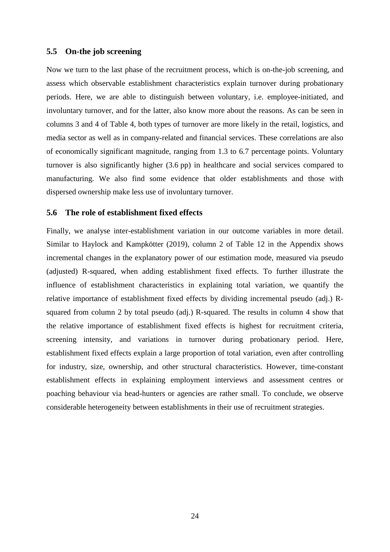#### **5.5 On-the job screening**

Now we turn to the last phase of the recruitment process, which is on-the-job screening, and assess which observable establishment characteristics explain turnover during probationary periods. Here, we are able to distinguish between voluntary, i.e. employee-initiated, and involuntary turnover, and for the latter, also know more about the reasons. As can be seen in columns 3 and 4 of [Table 4,](#page-24-0) both types of turnover are more likely in the retail, logistics, and media sector as well as in company-related and financial services. These correlations are also of economically significant magnitude, ranging from 1.3 to 6.7 percentage points. Voluntary turnover is also significantly higher (3.6 pp) in healthcare and social services compared to manufacturing. We also find some evidence that older establishments and those with dispersed ownership make less use of involuntary turnover.

#### **5.6 The role of establishment fixed effects**

Finally, we analyse inter-establishment variation in our outcome variables in more detail. Similar to Haylock and Kampkötter (2019), column 2 of [Table 12](#page-50-0) in the Appendix shows incremental changes in the explanatory power of our estimation mode, measured via pseudo (adjusted) R-squared, when adding establishment fixed effects. To further illustrate the influence of establishment characteristics in explaining total variation, we quantify the relative importance of establishment fixed effects by dividing incremental pseudo (adj.) Rsquared from column 2 by total pseudo (adj.) R-squared. The results in column 4 show that the relative importance of establishment fixed effects is highest for recruitment criteria, screening intensity, and variations in turnover during probationary period. Here, establishment fixed effects explain a large proportion of total variation, even after controlling for industry, size, ownership, and other structural characteristics. However, time-constant establishment effects in explaining employment interviews and assessment centres or poaching behaviour via head-hunters or agencies are rather small. To conclude, we observe considerable heterogeneity between establishments in their use of recruitment strategies.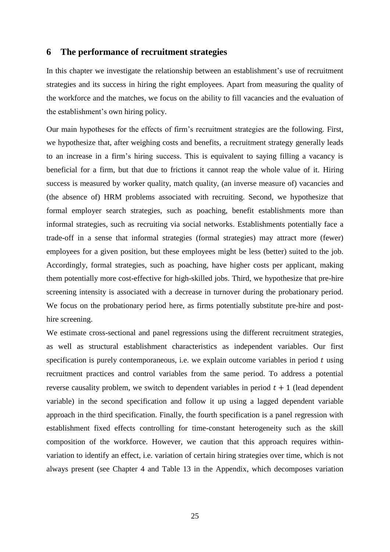#### <span id="page-26-0"></span>**6 The performance of recruitment strategies**

In this chapter we investigate the relationship between an establishment's use of recruitment strategies and its success in hiring the right employees. Apart from measuring the quality of the workforce and the matches, we focus on the ability to fill vacancies and the evaluation of the establishment's own hiring policy.

Our main hypotheses for the effects of firm's recruitment strategies are the following. First, we hypothesize that, after weighing costs and benefits, a recruitment strategy generally leads to an increase in a firm's hiring success. This is equivalent to saying filling a vacancy is beneficial for a firm, but that due to frictions it cannot reap the whole value of it. Hiring success is measured by worker quality, match quality, (an inverse measure of) vacancies and (the absence of) HRM problems associated with recruiting. Second, we hypothesize that formal employer search strategies, such as poaching, benefit establishments more than informal strategies, such as recruiting via social networks. Establishments potentially face a trade-off in a sense that informal strategies (formal strategies) may attract more (fewer) employees for a given position, but these employees might be less (better) suited to the job. Accordingly, formal strategies, such as poaching, have higher costs per applicant, making them potentially more cost-effective for high-skilled jobs. Third, we hypothesize that pre-hire screening intensity is associated with a decrease in turnover during the probationary period. We focus on the probationary period here, as firms potentially substitute pre-hire and posthire screening.

We estimate cross-sectional and panel regressions using the different recruitment strategies, as well as structural establishment characteristics as independent variables. Our first specification is purely contemporaneous, i.e. we explain outcome variables in period  $t$  using recruitment practices and control variables from the same period. To address a potential reverse causality problem, we switch to dependent variables in period  $t + 1$  (lead dependent variable) in the second specification and follow it up using a lagged dependent variable approach in the third specification. Finally, the fourth specification is a panel regression with establishment fixed effects controlling for time-constant heterogeneity such as the skill composition of the workforce. However, we caution that this approach requires withinvariation to identify an effect, i.e. variation of certain hiring strategies over time, which is not always present (see Chapter [4](#page-11-0) and [Table 13](#page-51-0) in the Appendix, which decomposes variation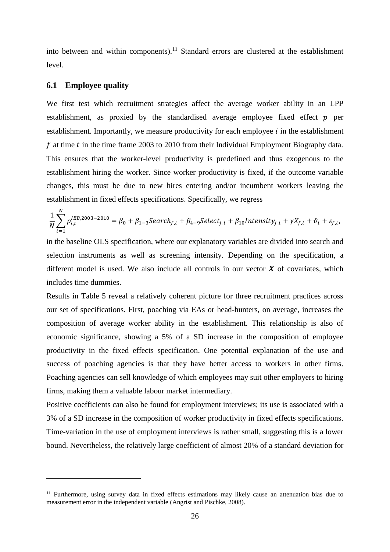into between and within components).<sup>11</sup> Standard errors are clustered at the establishment level.

#### **6.1 Employee quality**

 $\overline{a}$ 

We first test which recruitment strategies affect the average worker ability in an LPP establishment, as proxied by the standardised average employee fixed effect  $p$  per establishment. Importantly, we measure productivity for each employee  $i$  in the establishment f at time  $t$  in the time frame 2003 to 2010 from their Individual Employment Biography data. This ensures that the worker-level productivity is predefined and thus exogenous to the establishment hiring the worker. Since worker productivity is fixed, if the outcome variable changes, this must be due to new hires entering and/or incumbent workers leaving the establishment in fixed effects specifications. Specifically, we regress

$$
\frac{1}{N}\sum_{i=1}^N p_{i,t}^{IEB,2003-2010} = \beta_0 + \beta_{1-3} Search_{f,t} + \beta_{4-9} Select_{f,t} + \beta_{10} Intensity_{f,t} + \gamma X_{f,t} + \vartheta_t + \varepsilon_{f,t},
$$

in the baseline OLS specification, where our explanatory variables are divided into search and selection instruments as well as screening intensity. Depending on the specification, a different model is used. We also include all controls in our vector  $X$  of covariates, which includes time dummies.

Results in [Table 5](#page-28-0) reveal a relatively coherent picture for three recruitment practices across our set of specifications. First, poaching via EAs or head-hunters, on average, increases the composition of average worker ability in the establishment. This relationship is also of economic significance, showing a 5% of a SD increase in the composition of employee productivity in the fixed effects specification. One potential explanation of the use and success of poaching agencies is that they have better access to workers in other firms. Poaching agencies can sell knowledge of which employees may suit other employers to hiring firms, making them a valuable labour market intermediary.

Positive coefficients can also be found for employment interviews; its use is associated with a 3% of a SD increase in the composition of worker productivity in fixed effects specifications. Time-variation in the use of employment interviews is rather small, suggesting this is a lower bound. Nevertheless, the relatively large coefficient of almost 20% of a standard deviation for

<sup>&</sup>lt;sup>11</sup> Furthermore, using survey data in fixed effects estimations may likely cause an attenuation bias due to measurement error in the independent variable (Angrist and Pischke, 2008).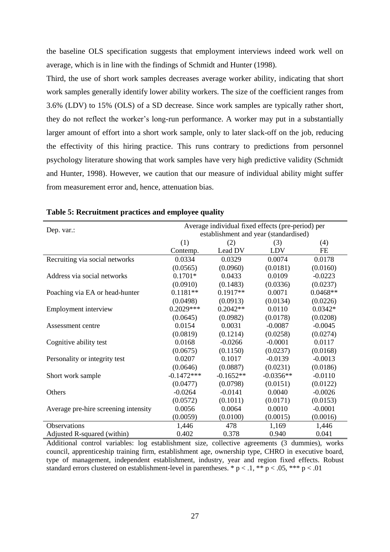the baseline OLS specification suggests that employment interviews indeed work well on average, which is in line with the findings of Schmidt and Hunter (1998).

Third, the use of short work samples decreases average worker ability, indicating that short work samples generally identify lower ability workers. The size of the coefficient ranges from 3.6% (LDV) to 15% (OLS) of a SD decrease. Since work samples are typically rather short, they do not reflect the worker's long-run performance. A worker may put in a substantially larger amount of effort into a short work sample, only to later slack-off on the job, reducing the effectivity of this hiring practice. This runs contrary to predictions from personnel psychology literature showing that work samples have very high predictive validity (Schmidt and Hunter, 1998). However, we caution that our measure of individual ability might suffer from measurement error and, hence, attenuation bias.

| Dep. var.:                           | Average individual fixed effects (pre-period) per |             |             |            |  |  |  |  |
|--------------------------------------|---------------------------------------------------|-------------|-------------|------------|--|--|--|--|
|                                      | establishment and year (standardised)             |             |             |            |  |  |  |  |
|                                      | (1)                                               | (2)         | (3)         | (4)        |  |  |  |  |
|                                      | Contemp.                                          | Lead DV     | LDV         | FE         |  |  |  |  |
| Recruiting via social networks       | 0.0334                                            | 0.0329      | 0.0074      | 0.0178     |  |  |  |  |
|                                      | (0.0565)                                          | (0.0960)    | (0.0181)    | (0.0160)   |  |  |  |  |
| Address via social networks          | $0.1701*$                                         | 0.0433      | 0.0109      | $-0.0223$  |  |  |  |  |
|                                      | (0.0910)                                          | (0.1483)    | (0.0336)    | (0.0237)   |  |  |  |  |
| Poaching via EA or head-hunter       | $0.1181**$                                        | $0.1917**$  | 0.0071      | $0.0468**$ |  |  |  |  |
|                                      | (0.0498)                                          | (0.0913)    | (0.0134)    | (0.0226)   |  |  |  |  |
| Employment interview                 | $0.2029***$                                       | $0.2042**$  | 0.0110      | $0.0342*$  |  |  |  |  |
|                                      | (0.0645)                                          | (0.0982)    | (0.0178)    | (0.0208)   |  |  |  |  |
| Assessment centre                    | 0.0154                                            | 0.0031      | $-0.0087$   | $-0.0045$  |  |  |  |  |
|                                      | (0.0819)                                          | (0.1214)    | (0.0258)    | (0.0274)   |  |  |  |  |
| Cognitive ability test               | 0.0168                                            | $-0.0266$   | $-0.0001$   | 0.0117     |  |  |  |  |
|                                      | (0.0675)                                          | (0.1150)    | (0.0237)    | (0.0168)   |  |  |  |  |
| Personality or integrity test        | 0.0207                                            | 0.1017      | $-0.0139$   | $-0.0013$  |  |  |  |  |
|                                      | (0.0646)                                          | (0.0887)    | (0.0231)    | (0.0186)   |  |  |  |  |
| Short work sample                    | $-0.1472***$                                      | $-0.1652**$ | $-0.0356**$ | $-0.0110$  |  |  |  |  |
|                                      | (0.0477)                                          | (0.0798)    | (0.0151)    | (0.0122)   |  |  |  |  |
| Others                               | $-0.0264$                                         | $-0.0141$   | 0.0040      | $-0.0026$  |  |  |  |  |
|                                      | (0.0572)                                          | (0.1011)    | (0.0171)    | (0.0153)   |  |  |  |  |
| Average pre-hire screening intensity | 0.0056                                            | 0.0064      | 0.0010      | $-0.0001$  |  |  |  |  |
|                                      | (0.0059)                                          | (0.0100)    | (0.0015)    | (0.0016)   |  |  |  |  |
| Observations                         | 1,446                                             | 478         | 1,169       | 1,446      |  |  |  |  |
| Adjusted R-squared (within)          | 0.402                                             | 0.378       | 0.940       | 0.041      |  |  |  |  |

#### <span id="page-28-0"></span>**Table 5: Recruitment practices and employee quality**

Additional control variables: log establishment size, collective agreements (3 dummies), works council, apprenticeship training firm, establishment age, ownership type, CHRO in executive board, type of management, independent establishment, industry, year and region fixed effects. Robust standard errors clustered on establishment-level in parentheses. \*  $p < 0.1$ , \*\*  $p < 0.05$ , \*\*\*  $p < 0.01$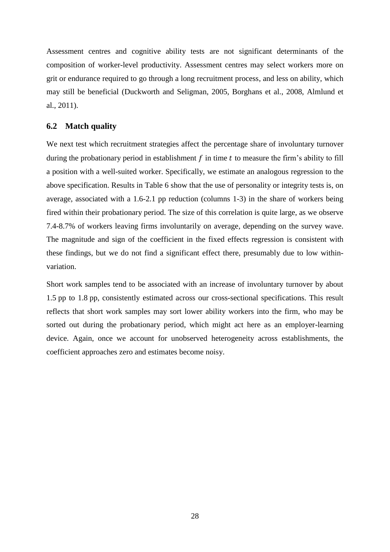Assessment centres and cognitive ability tests are not significant determinants of the composition of worker-level productivity. Assessment centres may select workers more on grit or endurance required to go through a long recruitment process, and less on ability, which may still be beneficial (Duckworth and Seligman, 2005, Borghans et al., 2008, Almlund et al., 2011).

#### **6.2 Match quality**

We next test which recruitment strategies affect the percentage share of involuntary turnover during the probationary period in establishment  $f$  in time  $t$  to measure the firm's ability to fill a position with a well-suited worker. Specifically, we estimate an analogous regression to the above specification. Results in [Table 6](#page-30-0) show that the use of personality or integrity tests is, on average, associated with a 1.6-2.1 pp reduction (columns 1-3) in the share of workers being fired within their probationary period. The size of this correlation is quite large, as we observe 7.4-8.7% of workers leaving firms involuntarily on average, depending on the survey wave. The magnitude and sign of the coefficient in the fixed effects regression is consistent with these findings, but we do not find a significant effect there, presumably due to low withinvariation.

Short work samples tend to be associated with an increase of involuntary turnover by about 1.5 pp to 1.8 pp, consistently estimated across our cross-sectional specifications. This result reflects that short work samples may sort lower ability workers into the firm, who may be sorted out during the probationary period, which might act here as an employer-learning device. Again, once we account for unobserved heterogeneity across establishments, the coefficient approaches zero and estimates become noisy.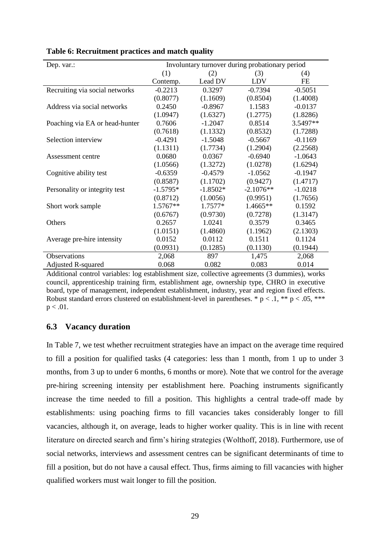| Dep. var.:                     | Involuntary turnover during probationary period |            |             |           |  |  |  |
|--------------------------------|-------------------------------------------------|------------|-------------|-----------|--|--|--|
|                                | (1)                                             | (2)        | (3)         | (4)       |  |  |  |
|                                | Contemp.                                        | Lead DV    | LDV         | <b>FE</b> |  |  |  |
| Recruiting via social networks | $-0.2213$                                       | 0.3297     | $-0.7394$   | $-0.5051$ |  |  |  |
|                                | (0.8077)                                        | (1.1609)   | (0.8504)    | (1.4008)  |  |  |  |
| Address via social networks    | 0.2450                                          | $-0.8967$  | 1.1583      | $-0.0137$ |  |  |  |
|                                | (1.0947)                                        | (1.6327)   | (1.2775)    | (1.8286)  |  |  |  |
| Poaching via EA or head-hunter | 0.7606                                          | $-1.2047$  | 0.8514      | 3.5497**  |  |  |  |
|                                | (0.7618)                                        | (1.1332)   | (0.8532)    | (1.7288)  |  |  |  |
| Selection interview            | $-0.4291$                                       | $-1.5048$  | $-0.5667$   | $-0.1169$ |  |  |  |
|                                | (1.1311)                                        | (1.7734)   | (1.2904)    | (2.2568)  |  |  |  |
| Assessment centre              | 0.0680                                          | 0.0367     | $-0.6940$   | $-1.0643$ |  |  |  |
|                                | (1.0566)                                        | (1.3272)   | (1.0278)    | (1.6294)  |  |  |  |
| Cognitive ability test         | $-0.6359$                                       | $-0.4579$  | $-1.0562$   | $-0.1947$ |  |  |  |
|                                | (0.8587)                                        | (1.1702)   | (0.9427)    | (1.4717)  |  |  |  |
| Personality or integrity test  | $-1.5795*$                                      | $-1.8502*$ | $-2.1076**$ | $-1.0218$ |  |  |  |
|                                | (0.8712)                                        | (1.0056)   | (0.9951)    | (1.7656)  |  |  |  |
| Short work sample              | 1.5767**                                        | 1.7577*    | 1.4665**    | 0.1592    |  |  |  |
|                                | (0.6767)                                        | (0.9730)   | (0.7278)    | (1.3147)  |  |  |  |
| Others                         | 0.2657                                          | 1.0241     | 0.3579      | 0.3465    |  |  |  |
|                                | (1.0151)                                        | (1.4860)   | (1.1962)    | (2.1303)  |  |  |  |
| Average pre-hire intensity     | 0.0152                                          | 0.0112     | 0.1511      | 0.1124    |  |  |  |
|                                | (0.0931)                                        | (0.1285)   | (0.1130)    | (0.1944)  |  |  |  |
| Observations                   | 2,068                                           | 897        | 1,475       | 2,068     |  |  |  |
| <b>Adjusted R-squared</b>      | 0.068                                           | 0.082      | 0.083       | 0.014     |  |  |  |

<span id="page-30-0"></span>**Table 6: Recruitment practices and match quality**

Additional control variables: log establishment size, collective agreements (3 dummies), works council, apprenticeship training firm, establishment age, ownership type, CHRO in executive board, type of management, independent establishment, industry, year and region fixed effects. Robust standard errors clustered on establishment-level in parentheses. \*  $p < 0.1$ , \*\*  $p < 0.05$ , \*\*\*  $p < .01$ .

#### **6.3 Vacancy duration**

In [Table 7,](#page-31-0) we test whether recruitment strategies have an impact on the average time required to fill a position for qualified tasks (4 categories: less than 1 month, from 1 up to under 3 months, from 3 up to under 6 months, 6 months or more). Note that we control for the average pre-hiring screening intensity per establishment here. Poaching instruments significantly increase the time needed to fill a position. This highlights a central trade-off made by establishments: using poaching firms to fill vacancies takes considerably longer to fill vacancies, although it, on average, leads to higher worker quality. This is in line with recent literature on directed search and firm's hiring strategies (Wolthoff, 2018). Furthermore, use of social networks, interviews and assessment centres can be significant determinants of time to fill a position, but do not have a causal effect. Thus, firms aiming to fill vacancies with higher qualified workers must wait longer to fill the position.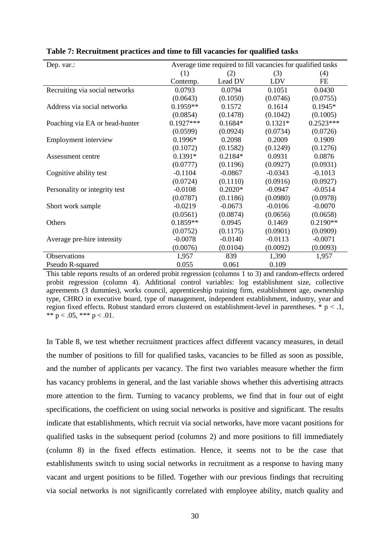| Dep. var.:                     | Average time required to fill vacancies for qualified tasks |           |            |             |  |  |
|--------------------------------|-------------------------------------------------------------|-----------|------------|-------------|--|--|
|                                | (1)                                                         | (2)       | (3)        | (4)         |  |  |
|                                | Contemp.                                                    | Lead DV   | <b>LDV</b> | FE          |  |  |
| Recruiting via social networks | 0.0793                                                      | 0.0794    | 0.1051     | 0.0430      |  |  |
|                                | (0.0643)                                                    | (0.1050)  | (0.0746)   | (0.0755)    |  |  |
| Address via social networks    | $0.1959**$                                                  | 0.1572    | 0.1614     | $0.1945*$   |  |  |
|                                | (0.0854)                                                    | (0.1478)  | (0.1042)   | (0.1005)    |  |  |
| Poaching via EA or head-hunter | $0.1927***$                                                 | $0.1684*$ | $0.1321*$  | $0.2523***$ |  |  |
|                                | (0.0599)                                                    | (0.0924)  | (0.0734)   | (0.0726)    |  |  |
| Employment interview           | $0.1996*$                                                   | 0.2098    | 0.2009     | 0.1909      |  |  |
|                                | (0.1072)                                                    | (0.1582)  | (0.1249)   | (0.1276)    |  |  |
| Assessment centre              | $0.1391*$                                                   | $0.2184*$ | 0.0931     | 0.0876      |  |  |
|                                | (0.0777)                                                    | (0.1196)  | (0.0927)   | (0.0931)    |  |  |
| Cognitive ability test         | $-0.1104$                                                   | $-0.0867$ | $-0.0343$  | $-0.1013$   |  |  |
|                                | (0.0724)                                                    | (0.1110)  | (0.0916)   | (0.0927)    |  |  |
| Personality or integrity test  | $-0.0108$                                                   | $0.2020*$ | $-0.0947$  | $-0.0514$   |  |  |
|                                | (0.0787)                                                    | (0.1186)  | (0.0980)   | (0.0978)    |  |  |
| Short work sample              | $-0.0219$                                                   | $-0.0673$ | $-0.0106$  | $-0.0070$   |  |  |
|                                | (0.0561)                                                    | (0.0874)  | (0.0656)   | (0.0658)    |  |  |
| Others                         | $0.1859**$                                                  | 0.0945    | 0.1469     | $0.2190**$  |  |  |
|                                | (0.0752)                                                    | (0.1175)  | (0.0901)   | (0.0909)    |  |  |
| Average pre-hire intensity     | $-0.0078$                                                   | $-0.0140$ | $-0.0113$  | $-0.0071$   |  |  |
|                                | (0.0076)                                                    | (0.0104)  | (0.0092)   | (0.0093)    |  |  |
| Observations                   | 1,957                                                       | 839       | 1,390      | 1,957       |  |  |
| Pseudo R-squared               | 0.055                                                       | 0.061     | 0.109      |             |  |  |

<span id="page-31-0"></span>**Table 7: Recruitment practices and time to fill vacancies for qualified tasks**

This table reports results of an ordered probit regression (columns 1 to 3) and random-effects ordered probit regression (column 4). Additional control variables: log establishment size, collective agreements (3 dummies), works council, apprenticeship training firm, establishment age, ownership type, CHRO in executive board, type of management, independent establishment, industry, year and region fixed effects. Robust standard errors clustered on establishment-level in parentheses.  $* p < 1$ , \*\*  $p < .05$ , \*\*\*  $p < .01$ .

In [Table 8,](#page-34-0) we test whether recruitment practices affect different vacancy measures, in detail the number of positions to fill for qualified tasks, vacancies to be filled as soon as possible, and the number of applicants per vacancy. The first two variables measure whether the firm has vacancy problems in general, and the last variable shows whether this advertising attracts more attention to the firm. Turning to vacancy problems, we find that in four out of eight specifications, the coefficient on using social networks is positive and significant. The results indicate that establishments, which recruit via social networks, have more vacant positions for qualified tasks in the subsequent period (columns 2) and more positions to fill immediately (column 8) in the fixed effects estimation. Hence, it seems not to be the case that establishments switch to using social networks in recruitment as a response to having many vacant and urgent positions to be filled. Together with our previous findings that recruiting via social networks is not significantly correlated with employee ability, match quality and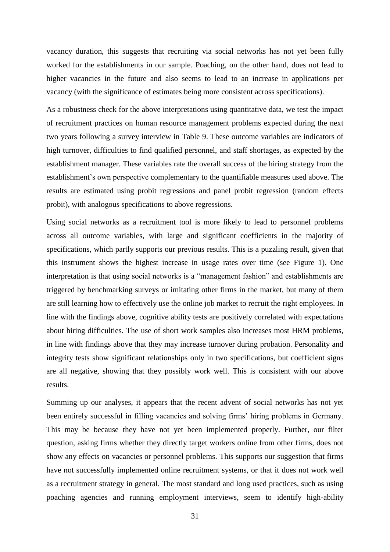vacancy duration, this suggests that recruiting via social networks has not yet been fully worked for the establishments in our sample. Poaching, on the other hand, does not lead to higher vacancies in the future and also seems to lead to an increase in applications per vacancy (with the significance of estimates being more consistent across specifications).

As a robustness check for the above interpretations using quantitative data, we test the impact of recruitment practices on human resource management problems expected during the next two years following a survey interview in [Table 9.](#page-35-0) These outcome variables are indicators of high turnover, difficulties to find qualified personnel, and staff shortages, as expected by the establishment manager. These variables rate the overall success of the hiring strategy from the establishment's own perspective complementary to the quantifiable measures used above. The results are estimated using probit regressions and panel probit regression (random effects probit), with analogous specifications to above regressions.

Using social networks as a recruitment tool is more likely to lead to personnel problems across all outcome variables, with large and significant coefficients in the majority of specifications, which partly supports our previous results. This is a puzzling result, given that this instrument shows the highest increase in usage rates over time (see [Figure 1\)](#page-43-0). One interpretation is that using social networks is a "management fashion" and establishments are triggered by benchmarking surveys or imitating other firms in the market, but many of them are still learning how to effectively use the online job market to recruit the right employees. In line with the findings above, cognitive ability tests are positively correlated with expectations about hiring difficulties. The use of short work samples also increases most HRM problems, in line with findings above that they may increase turnover during probation. Personality and integrity tests show significant relationships only in two specifications, but coefficient signs are all negative, showing that they possibly work well. This is consistent with our above results.

Summing up our analyses, it appears that the recent advent of social networks has not yet been entirely successful in filling vacancies and solving firms' hiring problems in Germany. This may be because they have not yet been implemented properly. Further, our filter question, asking firms whether they directly target workers online from other firms, does not show any effects on vacancies or personnel problems. This supports our suggestion that firms have not successfully implemented online recruitment systems, or that it does not work well as a recruitment strategy in general. The most standard and long used practices, such as using poaching agencies and running employment interviews, seem to identify high-ability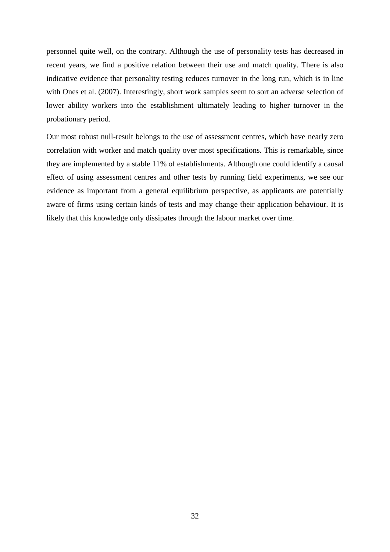personnel quite well, on the contrary. Although the use of personality tests has decreased in recent years, we find a positive relation between their use and match quality. There is also indicative evidence that personality testing reduces turnover in the long run, which is in line with Ones et al. (2007). Interestingly, short work samples seem to sort an adverse selection of lower ability workers into the establishment ultimately leading to higher turnover in the probationary period.

Our most robust null-result belongs to the use of assessment centres, which have nearly zero correlation with worker and match quality over most specifications. This is remarkable, since they are implemented by a stable 11% of establishments. Although one could identify a causal effect of using assessment centres and other tests by running field experiments, we see our evidence as important from a general equilibrium perspective, as applicants are potentially aware of firms using certain kinds of tests and may change their application behaviour. It is likely that this knowledge only dissipates through the labour market over time.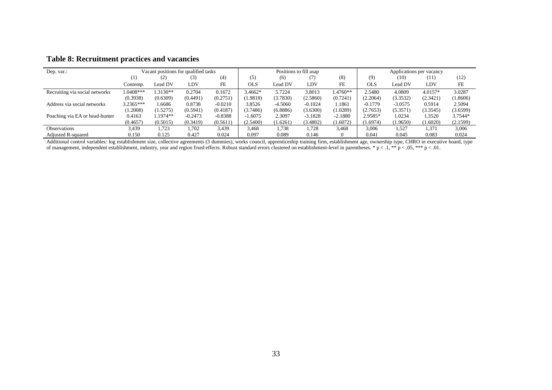| Dep. var.:                     | Vacant positions for qualified tasks |           |           |           | Positions to fill asap |           |           | Applications per vacancy |           |           |          |          |
|--------------------------------|--------------------------------------|-----------|-----------|-----------|------------------------|-----------|-----------|--------------------------|-----------|-----------|----------|----------|
|                                | (1)                                  | (2)       | (3)       | (4)       | (5)                    | (6)       | (7)       | (8)                      | (9)       | (10)      | (11)     | (12)     |
|                                | Contemp.                             | Lead DV   | LDV       | FE        | OLS                    | Lead DV   | LDV       | FE                       | OLS       | Lead DV   | LDV      | FE       |
| Recruiting via social networks | $1.0408***$                          | 1.3130**  | 0.2704    | 0.1672    | $3.4662*$              | 5.7224    | 3.8013    | $1.4760**$               | 2.5480    | 4.0809    | 4.0157*  | 3.0287   |
|                                | (0.3938)                             | (0.6309)  | (0.4491)  | (0.2751)  | (1.9818)               | (3.7830)  | (2.5860)  | (0.7241)                 | (2.2064)  | (3.3532)  | (2.3421) | (1.8606) |
| Address via social networks    | $3.2365***$                          | 1.6686    | 0.8738    | $-0.0210$ | 3.8526                 | $-4.5060$ | $-0.1024$ | .1861                    | $-0.1779$ | $-3.0575$ | 0.5914   | 2.5094   |
|                                | (1.2008)                             | (1.5275)  | (0.5941)  | (0.4187)  | (3.7486)               | (6.8886)  | (3.6300)  | (1.0289)                 | (2.7653)  | (5.3571)  | (3.3545) | (3.6599) |
| Poaching via EA or head-hunter | 0.4163                               | $.1974**$ | $-0.2473$ | $-0.8388$ | $-1.6075$              | 2.3097    | $-3.1828$ | $-2.1880$                | 2.9585*   | 1.0234    | 1.3520   | 3.7544*  |
|                                | (0.4657)                             | (0.5015)  | (0.3419)  | (0.5611)  | (2.5400)               | (1.6261)  | (3.4802)  | (1.6072)                 | (1.6974)  | (1.9650)  | (1.6020) | (2.1599) |
| Observations                   | 3,439                                | 1,723     | 1,702     | 3,439     | 3.468                  | 1,738     | 1,728     | 3,468                    | 3,006     | 1,527     | 1,371    | 3,006    |
| Adjusted R-squared             | 0.150                                | 0.125     | 0.427     | 0.024     | 0.097                  | 0.089     | 0.146     |                          | 0.041     | 0.045     | 0.083    | 0.024    |

#### **Table 8: Recruitment practices and vacancies**

<span id="page-34-0"></span>Additional control variables: log establishment size, collective agreements (3 dummies), works council, apprenticeship training firm, establishment age, ownership type, CHRO in executive board, type of management, independent establishment, industry, year and region fixed effects. Robust standard errors clustered on establishment-level in parentheses. \*  $p < .1$ , \*\*  $p < .05$ , \*\*\* p < .01.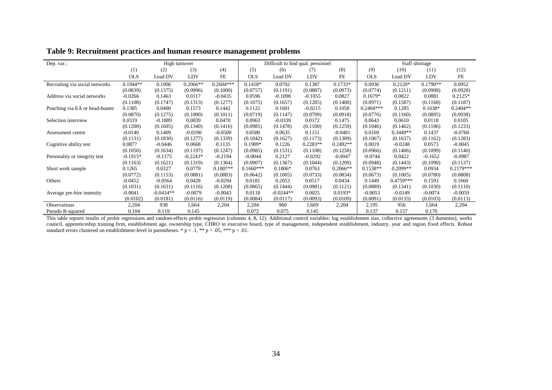| Dep. var.:                     |            | High turnover |            |             |             | Difficult to find qual. personnel |            |            |             | Staff shortage |            |             |
|--------------------------------|------------|---------------|------------|-------------|-------------|-----------------------------------|------------|------------|-------------|----------------|------------|-------------|
|                                | (1)        | (2)           | (3)        | (4)         | (5)         | (6)                               | (7)        | (8)        | (9)         | (10)           | (11)       | (12)        |
|                                | <b>OLS</b> | Lead DV       | LDV        | <b>FE</b>   | <b>OLS</b>  | Lead DV                           | LDV        | <b>FE</b>  | <b>OLS</b>  | Lead DV        | LDV        | FE          |
| Recruiting via social networks | $0.1944**$ | 0.1906        | $0.2066**$ | $0.2604***$ | $0.1418*$   | 0.0702                            | 0.1387     | $0.1733*$  | 0.0936      | $0.2120*$      | $0.1790**$ | 0.0952      |
|                                | (0.0839)   | (0.1375)      | (0.0996)   | (0.1000)    | (0.0757)    | (0.1191)                          | (0.0887)   | (0.0973)   | (0.0774)    | (0.1211)       | (0.0908)   | (0.0928)    |
| Address via social networks    | $-0.0266$  | 0.1463        | 0.0117     | $-0.0435$   | 0.0596      | $-0.1098$                         | $-0.1055$  | 0.0827     | $0.1679*$   | 0.0822         | 0.0881     | $0.2125*$   |
|                                | (0.1108)   | (0.1747)      | (0.1313)   | (0.1277)    | (0.1075)    | (0.1657)                          | (0.1285)   | (0.1400)   | (0.0971)    | (0.1587)       | (0.1168)   | (0.1187)    |
| Poaching via EA or head-hunter | 0.1385     | 0.0400        | 0.1573     | 0.1442      | 0.1122      | 0.1601                            | $-0.0215$  | 0.1058     | $0.2404***$ | 0.1285         | $0.1638*$  | $0.2404**$  |
|                                | (0.0870)   | (0.1275)      | (0.1000)   | (0.1011)    | (0.0719)    | (0.1147)                          | (0.0799)   | (0.0918)   | (0.0776)    | (0.1160)       | (0.0895)   | (0.0938)    |
| Selection interview            | 0.0319     | $-0.1889$     | 0.0839     | 0.0470      | 0.0963      | $-0.0339$                         | 0.0172     | 0.1475     | 0.0643      | 0.0610         | 0.0118     | 0.0105      |
|                                | (0.1200)   | (0.1605)      | (0.1340)   | (0.1416)    | (0.0985)    | (0.1478)                          | (0.1100)   | (0.1259)   | (0.1046)    | (0.1462)       | (0.1186)   | (0.1233)    |
| Assessment centre              | $-0.0140$  | 0.1409        | $-0.0190$  | $-0.0500$   | 0.0580      | 0.0635                            | 0.1151     | $-0.0401$  | 0.0169      | $0.3449**$     | 0.1437     | $-0.0760$   |
|                                | (0.1131)   | (0.1830)      | (0.1277)   | (0.1339)    | (0.1042)    | (0.1627)                          | (0.1173)   | (0.1309)   | (0.1067)    | (0.1637)       | (0.1162)   | (0.1283)    |
| Cognitive ability test         | 0.0877     | $-0.0446$     | 0.0668     | 0.1135      | $0.1909*$   | 0.1226                            | $0.2283**$ | $0.2492**$ | 0.0019      | $-0.0248$      | 0.0573     | $-0.0045$   |
|                                | (0.1050)   | (0.1634)      | (0.1197)   | (0.1247)    | (0.0985)    | (0.1531)                          | (0.1108)   | (0.1258)   | (0.0966)    | (0.1406)       | (0.1099)   | (0.1140)    |
| Personality or integrity test  | $-0.1915*$ | $-0.1175$     | $-0.2243*$ | $-0.2194$   | $-0.0044$   | 0.2127                            | $-0.0292$  | $-0.0047$  | $-0.0744$   | 0.0422         | $-0.1652$  | $-0.0987$   |
|                                | (0.1163)   | (0.1621)      | (0.1319)   | (0.1364)    | (0.0907)    | (0.1367)                          | (0.1044)   | (0.1209)   | (0.0948)    | (0.1443)       | (0.1090)   | (0.1137)    |
| Short work sample              | 0.1265     | 0.0327        | 0.0779     | $0.1807**$  | $0.1660***$ | $0.1806*$                         | 0.0763     | $0.2066**$ | $0.1538**$  | $0.2099**$     | 0.0934     | $0.2179***$ |
|                                | (0.0772)   | (0.1153)      | (0.0881)   | (0.0883)    | (0.0642)    | (0.1005)                          | (0.0733)   | (0.0834)   | (0.0673)    | (0.1005)       | (0.0780)   | (0.0808)    |
| Others                         | $-0.0452$  | $-0.0564$     | 0.0428     | $-0.0294$   | 0.0181      | 0.2053                            | 0.0517     | 0.0434     | 0.1449      | $0.4759***$    | 0.1593     | 0.1660      |
|                                | (0.1031)   | (0.1631)      | (0.1116)   | (0.1208)    | (0.0865)    | (0.1444)                          | (0.0981)   | (0.1121)   | (0.0889)    | (0.1341)       | (0.1030)   | (0.1110)    |
| Average pre-hire intensity     | $-0.0041$  | $-0.0434**$   | $-0.0079$  | $-0.0043$   | 0.0118      | $-0.0244**$                       | 0.0025     | $0.0193*$  | $-0.0053$   | $-0.0149$      | $-0.0074$  | $-0.0059$   |
|                                | (0.0102)   | (0.0181)      | (0.0116)   | (0.0119)    | (0.0084)    | (0.0117)                          | (0.0093)   | (0.0109)   | (0.0091)    | (0.0133)       | (0.0103)   | (0.0113)    |
| Observations                   | 2,204      | 938           | 1,664      | 2,204       | 2,204       | 960                               | 1,669      | 2,204      | 2,195       | 956            | 1,664      | 2,204       |
| Pseudo R-squared               | 0.104      | 0.119         | 0.145      |             | 0.072       | 0.075                             | 0.145      |            | 0.137       | 0.157          | 0.170      |             |

**Table 9: Recruitment practices and human resource management problems**

<span id="page-35-0"></span>This table reports results of probit regressions and random-effects probit regression (columns 4, 8, 12). Additional control variables: log establishment size, collective agreements (3 dummies), works council, apprenticeship training firm, establishment age, ownership type, CHRO in executive board, type of management, independent establishment, industry, year and region fixed effects. Robust standard errors clustered on establishment-level in parentheses. \*  $p < 0.1$ , \*\*  $p < 0.05$ , \*\*\*  $p < 0.01$ .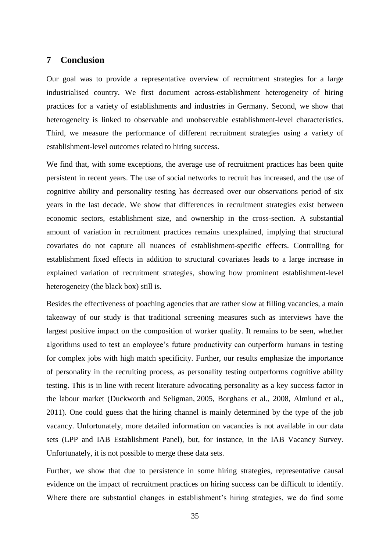#### **7 Conclusion**

Our goal was to provide a representative overview of recruitment strategies for a large industrialised country. We first document across-establishment heterogeneity of hiring practices for a variety of establishments and industries in Germany. Second, we show that heterogeneity is linked to observable and unobservable establishment-level characteristics. Third, we measure the performance of different recruitment strategies using a variety of establishment-level outcomes related to hiring success.

We find that, with some exceptions, the average use of recruitment practices has been quite persistent in recent years. The use of social networks to recruit has increased, and the use of cognitive ability and personality testing has decreased over our observations period of six years in the last decade. We show that differences in recruitment strategies exist between economic sectors, establishment size, and ownership in the cross-section. A substantial amount of variation in recruitment practices remains unexplained, implying that structural covariates do not capture all nuances of establishment-specific effects. Controlling for establishment fixed effects in addition to structural covariates leads to a large increase in explained variation of recruitment strategies, showing how prominent establishment-level heterogeneity (the black box) still is.

Besides the effectiveness of poaching agencies that are rather slow at filling vacancies, a main takeaway of our study is that traditional screening measures such as interviews have the largest positive impact on the composition of worker quality. It remains to be seen, whether algorithms used to test an employee's future productivity can outperform humans in testing for complex jobs with high match specificity. Further, our results emphasize the importance of personality in the recruiting process, as personality testing outperforms cognitive ability testing. This is in line with recent literature advocating personality as a key success factor in the labour market (Duckworth and Seligman, 2005, Borghans et al., 2008, Almlund et al., 2011). One could guess that the hiring channel is mainly determined by the type of the job vacancy. Unfortunately, more detailed information on vacancies is not available in our data sets (LPP and IAB Establishment Panel), but, for instance, in the IAB Vacancy Survey. Unfortunately, it is not possible to merge these data sets.

Further, we show that due to persistence in some hiring strategies, representative causal evidence on the impact of recruitment practices on hiring success can be difficult to identify. Where there are substantial changes in establishment's hiring strategies, we do find some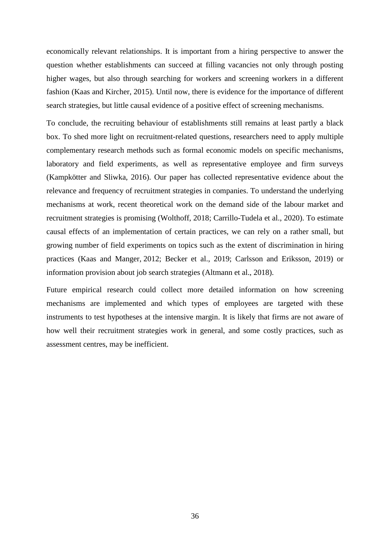economically relevant relationships. It is important from a hiring perspective to answer the question whether establishments can succeed at filling vacancies not only through posting higher wages, but also through searching for workers and screening workers in a different fashion (Kaas and Kircher, 2015). Until now, there is evidence for the importance of different search strategies, but little causal evidence of a positive effect of screening mechanisms.

To conclude, the recruiting behaviour of establishments still remains at least partly a black box. To shed more light on recruitment-related questions, researchers need to apply multiple complementary research methods such as formal economic models on specific mechanisms, laboratory and field experiments, as well as representative employee and firm surveys (Kampkötter and Sliwka, 2016). Our paper has collected representative evidence about the relevance and frequency of recruitment strategies in companies. To understand the underlying mechanisms at work, recent theoretical work on the demand side of the labour market and recruitment strategies is promising (Wolthoff, 2018; Carrillo-Tudela et al., 2020). To estimate causal effects of an implementation of certain practices, we can rely on a rather small, but growing number of field experiments on topics such as the extent of discrimination in hiring practices (Kaas and Manger, 2012; Becker et al., 2019; Carlsson and Eriksson, 2019) or information provision about job search strategies (Altmann et al., 2018).

Future empirical research could collect more detailed information on how screening mechanisms are implemented and which types of employees are targeted with these instruments to test hypotheses at the intensive margin. It is likely that firms are not aware of how well their recruitment strategies work in general, and some costly practices, such as assessment centres, may be inefficient.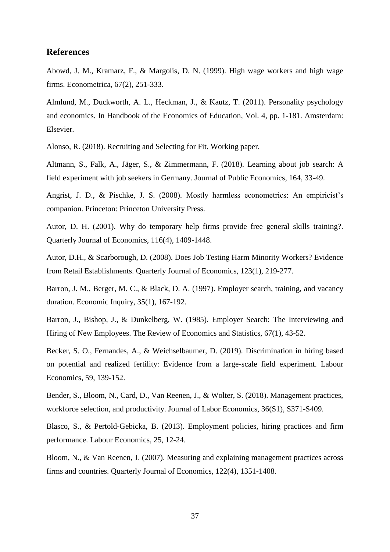#### **References**

Abowd, J. M., Kramarz, F., & Margolis, D. N. (1999). High wage workers and high wage firms. Econometrica, 67(2), 251-333.

Almlund, M., Duckworth, A. L., Heckman, J., & Kautz, T. (2011). Personality psychology and economics. In Handbook of the Economics of Education, Vol. 4, pp. 1-181. Amsterdam: Elsevier.

Alonso, R. (2018). Recruiting and Selecting for Fit. Working paper.

Altmann, S., Falk, A., Jäger, S., & Zimmermann, F. (2018). Learning about job search: A field experiment with job seekers in Germany. Journal of Public Economics, 164, 33-49.

Angrist, J. D., & Pischke, J. S. (2008). Mostly harmless econometrics: An empiricist's companion. Princeton: Princeton University Press.

Autor, D. H. (2001). Why do temporary help firms provide free general skills training?. Quarterly Journal of Economics, 116(4), 1409-1448.

Autor, D.H., & Scarborough, D. (2008). Does Job Testing Harm Minority Workers? Evidence from Retail Establishments. Quarterly Journal of Economics, 123(1), 219-277.

Barron, J. M., Berger, M. C., & Black, D. A. (1997). Employer search, training, and vacancy duration. Economic Inquiry, 35(1), 167-192.

Barron, J., Bishop, J., & Dunkelberg, W. (1985). Employer Search: The Interviewing and Hiring of New Employees. The Review of Economics and Statistics, 67(1), 43-52.

Becker, S. O., Fernandes, A., & Weichselbaumer, D. (2019). Discrimination in hiring based on potential and realized fertility: Evidence from a large-scale field experiment. Labour Economics, 59, 139-152.

Bender, S., Bloom, N., Card, D., Van Reenen, J., & Wolter, S. (2018). Management practices, workforce selection, and productivity. Journal of Labor Economics, 36(S1), S371-S409.

Blasco, S., & Pertold-Gebicka, B. (2013). Employment policies, hiring practices and firm performance. Labour Economics, 25, 12-24.

Bloom, N., & Van Reenen, J. (2007). Measuring and explaining management practices across firms and countries. Quarterly Journal of Economics, 122(4), 1351-1408.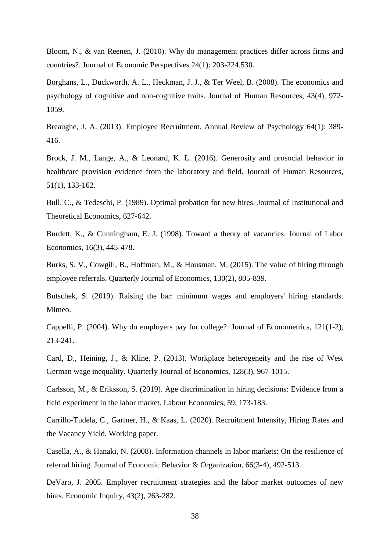Bloom, N., & van Reenen, J. (2010). Why do management practices differ across firms and countries?. Journal of Economic Perspectives 24(1): 203-224.530.

Borghans, L., Duckworth, A. L., Heckman, J. J., & Ter Weel, B. (2008). The economics and psychology of cognitive and non-cognitive traits. Journal of Human Resources, 43(4), 972- 1059.

Breaughe, J. A. (2013). Employee Recruitment. Annual Review of Psychology 64(1): 389- 416.

Brock, J. M., Lange, A., & Leonard, K. L. (2016). Generosity and prosocial behavior in healthcare provision evidence from the laboratory and field. Journal of Human Resources, 51(1), 133-162.

Bull, C., & Tedeschi, P. (1989). Optimal probation for new hires. Journal of Institutional and Theoretical Economics, 627-642.

Burdett, K., & Cunningham, E. J. (1998). Toward a theory of vacancies. Journal of Labor Economics, 16(3), 445-478.

Burks, S. V., Cowgill, B., Hoffman, M., & Housman, M. (2015). The value of hiring through employee referrals. Quarterly Journal of Economics, 130(2), 805-839.

Butschek, S. (2019). Raising the bar: minimum wages and employers' hiring standards. Mimeo.

Cappelli, P. (2004). Why do employers pay for college?. Journal of Econometrics, 121(1-2), 213-241.

Card, D., Heining, J., & Kline, P. (2013). Workplace heterogeneity and the rise of West German wage inequality. Quarterly Journal of Economics, 128(3), 967-1015.

Carlsson, M., & Eriksson, S. (2019). Age discrimination in hiring decisions: Evidence from a field experiment in the labor market. Labour Economics, 59, 173-183.

Carrillo-Tudela, C., Gartner, H., & Kaas, L. (2020). Recruitment Intensity, Hiring Rates and the Vacancy Yield. Working paper.

Casella, A., & Hanaki, N. (2008). Information channels in labor markets: On the resilience of referral hiring. Journal of Economic Behavior & Organization, 66(3-4), 492-513.

DeVaro, J. 2005. Employer recruitment strategies and the labor market outcomes of new hires. Economic Inquiry, 43(2), 263-282.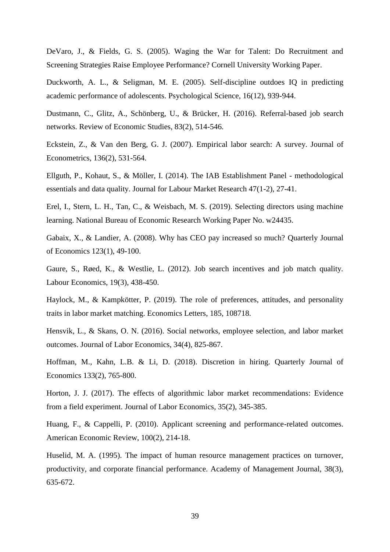DeVaro, J., & Fields, G. S. (2005). Waging the War for Talent: Do Recruitment and Screening Strategies Raise Employee Performance? Cornell University Working Paper.

Duckworth, A. L., & Seligman, M. E. (2005). Self-discipline outdoes IQ in predicting academic performance of adolescents. Psychological Science, 16(12), 939-944.

Dustmann, C., Glitz, A., Schönberg, U., & Brücker, H. (2016). Referral-based job search networks. Review of Economic Studies, 83(2), 514-546.

Eckstein, Z., & Van den Berg, G. J. (2007). Empirical labor search: A survey. Journal of Econometrics, 136(2), 531-564.

Ellguth, P., Kohaut, S., & Möller, I. (2014). The IAB Establishment Panel - methodological essentials and data quality. Journal for Labour Market Research 47(1-2), 27-41.

Erel, I., Stern, L. H., Tan, C., & Weisbach, M. S. (2019). Selecting directors using machine learning. National Bureau of Economic Research Working Paper No. w24435.

Gabaix, X., & Landier, A. (2008). Why has CEO pay increased so much? Quarterly Journal of Economics 123(1), 49-100.

Gaure, S., Røed, K., & Westlie, L. (2012). Job search incentives and job match quality. Labour Economics, 19(3), 438-450.

Haylock, M., & Kampkötter, P. (2019). The role of preferences, attitudes, and personality traits in labor market matching. Economics Letters, 185, 108718.

Hensvik, L., & Skans, O. N. (2016). Social networks, employee selection, and labor market outcomes. Journal of Labor Economics, 34(4), 825-867.

Hoffman, M., Kahn, L.B. & Li, D. (2018). Discretion in hiring. Quarterly Journal of Economics 133(2), 765-800.

Horton, J. J. (2017). The effects of algorithmic labor market recommendations: Evidence from a field experiment. Journal of Labor Economics, 35(2), 345-385.

Huang, F., & Cappelli, P. (2010). Applicant screening and performance-related outcomes. American Economic Review, 100(2), 214-18.

Huselid, M. A. (1995). The impact of human resource management practices on turnover, productivity, and corporate financial performance. Academy of Management Journal, 38(3), 635-672.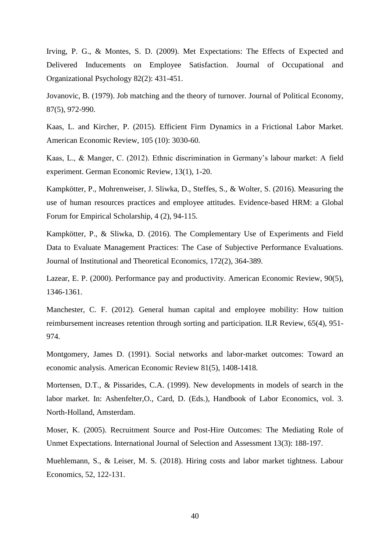Irving, P. G., & Montes, S. D. (2009). Met Expectations: The Effects of Expected and Delivered Inducements on Employee Satisfaction. Journal of Occupational and Organizational Psychology 82(2): 431-451.

Jovanovic, B. (1979). Job matching and the theory of turnover. Journal of Political Economy, 87(5), 972-990.

Kaas, L. and Kircher, P. (2015). Efficient Firm Dynamics in a Frictional Labor Market. American Economic Review, 105 (10): 3030-60.

Kaas, L., & Manger, C. (2012). Ethnic discrimination in Germany's labour market: A field experiment. German Economic Review, 13(1), 1-20.

Kampkötter, P., Mohrenweiser, J. Sliwka, D., Steffes, S., & Wolter, S. (2016). Measuring the use of human resources practices and employee attitudes. Evidence-based HRM: a Global Forum for Empirical Scholarship, 4 (2), 94-115.

Kampkötter, P., & Sliwka, D. (2016). The Complementary Use of Experiments and Field Data to Evaluate Management Practices: The Case of Subjective Performance Evaluations. Journal of Institutional and Theoretical Economics, 172(2), 364-389.

Lazear, E. P. (2000). Performance pay and productivity. American Economic Review, 90(5), 1346-1361.

Manchester, C. F. (2012). General human capital and employee mobility: How tuition reimbursement increases retention through sorting and participation. ILR Review, 65(4), 951- 974.

Montgomery, James D. (1991). Social networks and labor-market outcomes: Toward an economic analysis. American Economic Review 81(5), 1408-1418.

Mortensen, D.T., & Pissarides, C.A. (1999). New developments in models of search in the labor market. In: Ashenfelter,O., Card, D. (Eds.), Handbook of Labor Economics, vol. 3. North-Holland, Amsterdam.

Moser, K. (2005). Recruitment Source and Post-Hire Outcomes: The Mediating Role of Unmet Expectations. International Journal of Selection and Assessment 13(3): 188-197.

Muehlemann, S., & Leiser, M. S. (2018). Hiring costs and labor market tightness. Labour Economics, 52, 122-131.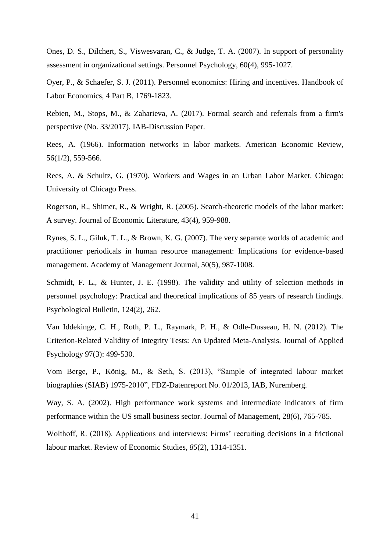Ones, D. S., Dilchert, S., Viswesvaran, C., & Judge, T. A. (2007). In support of personality assessment in organizational settings. Personnel Psychology, 60(4), 995-1027.

Oyer, P., & Schaefer, S. J. (2011). Personnel economics: Hiring and incentives. Handbook of Labor Economics, 4 Part B, 1769-1823.

Rebien, M., Stops, M., & Zaharieva, A. (2017). Formal search and referrals from a firm's perspective (No. 33/2017). IAB-Discussion Paper.

Rees, A. (1966). Information networks in labor markets. American Economic Review, 56(1/2), 559-566.

Rees, A. & Schultz, G. (1970). Workers and Wages in an Urban Labor Market. Chicago: University of Chicago Press.

Rogerson, R., Shimer, R., & Wright, R. (2005). Search-theoretic models of the labor market: A survey. Journal of Economic Literature, 43(4), 959-988.

Rynes, S. L., Giluk, T. L., & Brown, K. G. (2007). The very separate worlds of academic and practitioner periodicals in human resource management: Implications for evidence-based management. Academy of Management Journal, 50(5), 987-1008.

Schmidt, F. L., & Hunter, J. E. (1998). The validity and utility of selection methods in personnel psychology: Practical and theoretical implications of 85 years of research findings. Psychological Bulletin, 124(2), 262.

Van Iddekinge, C. H., Roth, P. L., Raymark, P. H., & Odle-Dusseau, H. N. (2012). The Criterion-Related Validity of Integrity Tests: An Updated Meta-Analysis. Journal of Applied Psychology 97(3): 499-530.

Vom Berge, P., König, M., & Seth, S. (2013), "Sample of integrated labour market biographies (SIAB) 1975-2010", FDZ-Datenreport No. 01/2013, IAB, Nuremberg.

Way, S. A. (2002). High performance work systems and intermediate indicators of firm performance within the US small business sector. Journal of Management, 28(6), 765-785.

Wolthoff, R. (2018). Applications and interviews: Firms' recruiting decisions in a frictional labour market. Review of Economic Studies, *85*(2), 1314-1351.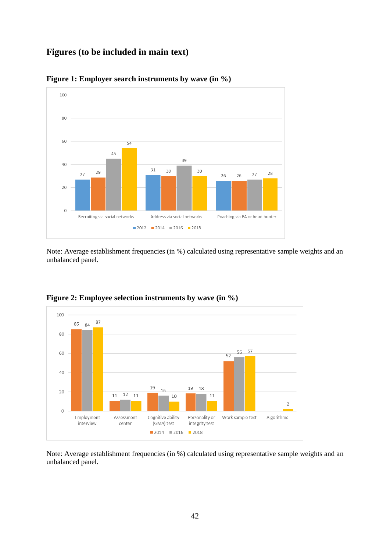# **Figures (to be included in main text)**



<span id="page-43-0"></span>**Figure 1: Employer search instruments by wave (in %)**

Note: Average establishment frequencies (in %) calculated using representative sample weights and an unbalanced panel.



<span id="page-43-1"></span>**Figure 2: Employee selection instruments by wave (in %)**

Note: Average establishment frequencies (in %) calculated using representative sample weights and an unbalanced panel.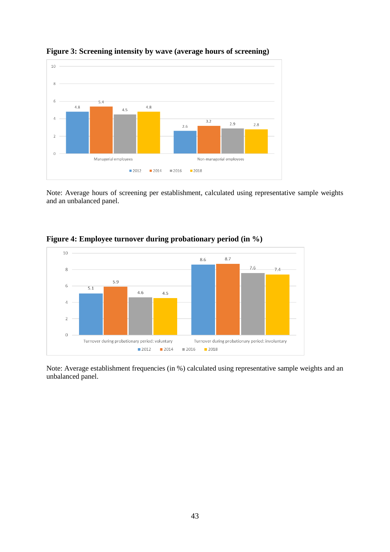

## <span id="page-44-0"></span>**Figure 3: Screening intensity by wave (average hours of screening)**

Note: Average hours of screening per establishment, calculated using representative sample weights and an unbalanced panel.



<span id="page-44-1"></span>**Figure 4: Employee turnover during probationary period (in %)**

Note: Average establishment frequencies (in %) calculated using representative sample weights and an unbalanced panel.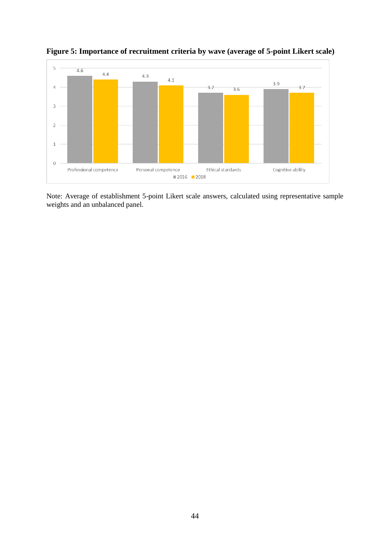

<span id="page-45-0"></span>**Figure 5: Importance of recruitment criteria by wave (average of 5-point Likert scale)**

Note: Average of establishment 5-point Likert scale answers, calculated using representative sample weights and an unbalanced panel.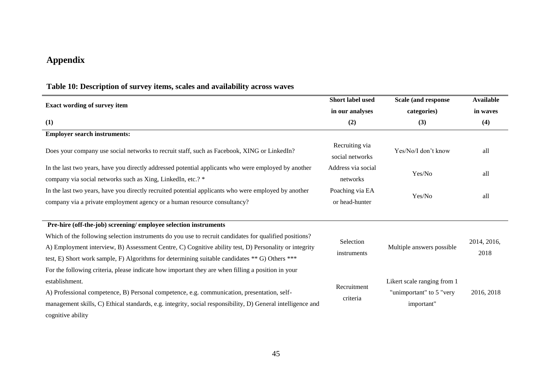# **Appendix**

<span id="page-46-0"></span>

| <b>Exact wording of survey item</b>                                                                                                                                                                                                                                                                                                                     | Short label used                                         | Scale (and response                                                   | <b>Available</b>    |
|---------------------------------------------------------------------------------------------------------------------------------------------------------------------------------------------------------------------------------------------------------------------------------------------------------------------------------------------------------|----------------------------------------------------------|-----------------------------------------------------------------------|---------------------|
|                                                                                                                                                                                                                                                                                                                                                         | in our analyses                                          | categories)                                                           | in waves            |
| (1)                                                                                                                                                                                                                                                                                                                                                     | (2)                                                      | (3)                                                                   | (4)                 |
| <b>Employer search instruments:</b>                                                                                                                                                                                                                                                                                                                     |                                                          |                                                                       |                     |
| Does your company use social networks to recruit staff, such as Facebook, XING or LinkedIn?                                                                                                                                                                                                                                                             | Recruiting via<br>Yes/No/I don't know<br>social networks |                                                                       | all                 |
| In the last two years, have you directly addressed potential applicants who were employed by another<br>company via social networks such as Xing, LinkedIn, etc.? *                                                                                                                                                                                     | Address via social<br>Yes/No<br>networks                 |                                                                       | all                 |
| In the last two years, have you directly recruited potential applicants who were employed by another<br>company via a private employment agency or a human resource consultancy?                                                                                                                                                                        | Poaching via EA<br>or head-hunter                        | Yes/No                                                                | all                 |
| Pre-hire (off-the-job) screening/ employee selection instruments                                                                                                                                                                                                                                                                                        |                                                          |                                                                       |                     |
| Which of the following selection instruments do you use to recruit candidates for qualified positions?<br>A) Employment interview, B) Assessment Centre, C) Cognitive ability test, D) Personality or integrity<br>test, E) Short work sample, F) Algorithms for determining suitable candidates ** G) Others ***                                       | Selection<br>instruments                                 | Multiple answers possible                                             | 2014, 2016,<br>2018 |
| For the following criteria, please indicate how important they are when filling a position in your<br>establishment.<br>A) Professional competence, B) Personal competence, e.g. communication, presentation, self-<br>management skills, C) Ethical standards, e.g. integrity, social responsibility, D) General intelligence and<br>cognitive ability | Recruitment<br>criteria                                  | Likert scale ranging from 1<br>"unimportant" to 5 "very<br>important" | 2016, 2018          |

# **Table 10: Description of survey items, scales and availability across waves**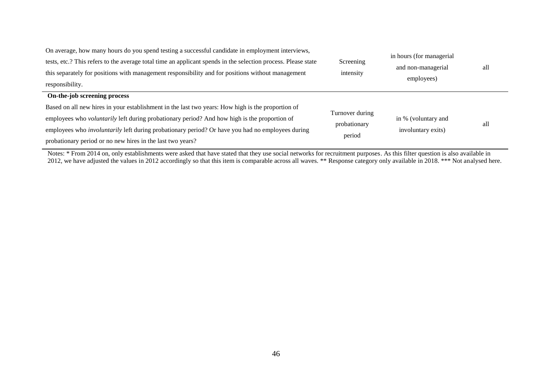| On average, how many hours do you spend testing a successful candidate in employment interviews,<br>tests, etc.? This refers to the average total time an applicant spends in the selection process. Please state<br>this separately for positions with management responsibility and for positions without management<br>responsibility. | Screening<br>intensity | in hours (for managerial<br>and non-managerial<br>employees) | all |
|-------------------------------------------------------------------------------------------------------------------------------------------------------------------------------------------------------------------------------------------------------------------------------------------------------------------------------------------|------------------------|--------------------------------------------------------------|-----|
| On-the-job screening process                                                                                                                                                                                                                                                                                                              |                        |                                                              |     |
| Based on all new hires in your establishment in the last two years: How high is the proportion of                                                                                                                                                                                                                                         |                        |                                                              |     |
| employees who voluntarily left during probationary period? And how high is the proportion of                                                                                                                                                                                                                                              | Turnover during        | in % (voluntary and                                          |     |
| employees who <i>involuntarily</i> left during probationary period? Or have you had no employees during                                                                                                                                                                                                                                   | probationary           | involuntary exits)                                           | all |
| probationary period or no new hires in the last two years?                                                                                                                                                                                                                                                                                | period                 |                                                              |     |

Notes: \* From 2014 on, only establishments were asked that have stated that they use social networks for recruitment purposes. As this filter question is also available in 2012, we have adjusted the values in 2012 accordingly so that this item is comparable across all waves. \*\* Response category only available in 2018. \*\*\* Not analysed here.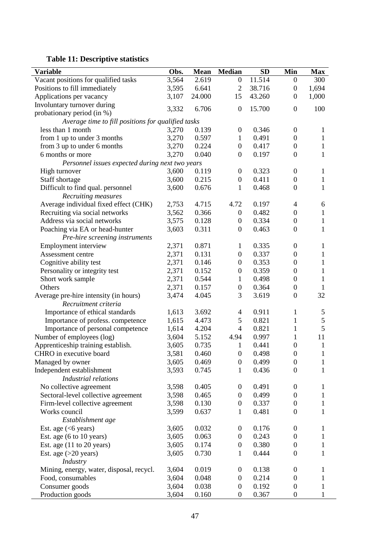# <span id="page-48-0"></span>**Table 11: Descriptive statistics**

| <b>Variable</b>                                    | Obs.  | <b>Mean</b> | <b>Median</b>    | <b>SD</b> | Min                      | <b>Max</b>   |  |  |
|----------------------------------------------------|-------|-------------|------------------|-----------|--------------------------|--------------|--|--|
| Vacant positions for qualified tasks               | 3,564 | 2.619       | $\boldsymbol{0}$ | 11.514    | $\boldsymbol{0}$         | 300          |  |  |
| Positions to fill immediately                      | 3,595 | 6.641       | $\overline{2}$   | 38.716    | $\boldsymbol{0}$         | 1,694        |  |  |
| Applications per vacancy                           | 3,107 | 24.000      | 15               | 43.260    | $\boldsymbol{0}$         | 1,000        |  |  |
| Involuntary turnover during                        | 3,332 | 6.706       | $\boldsymbol{0}$ | 15.700    | $\boldsymbol{0}$         | 100          |  |  |
| probationary period (in %)                         |       |             |                  |           |                          |              |  |  |
| Average time to fill positions for qualified tasks |       |             |                  |           |                          |              |  |  |
| less than 1 month                                  | 3,270 | 0.139       | $\boldsymbol{0}$ | 0.346     | $\boldsymbol{0}$         | 1            |  |  |
| from 1 up to under 3 months                        | 3,270 | 0.597       | $\mathbf{1}$     | 0.491     | $\boldsymbol{0}$         | $\mathbf{1}$ |  |  |
| from 3 up to under 6 months                        | 3,270 | 0.224       | $\boldsymbol{0}$ | 0.417     | $\boldsymbol{0}$         | $\mathbf{1}$ |  |  |
| 6 months or more                                   | 3,270 | 0.040       | $\boldsymbol{0}$ | 0.197     | $\boldsymbol{0}$         | 1            |  |  |
| Personnel issues expected during next two years    |       |             |                  |           |                          |              |  |  |
| High turnover                                      | 3,600 | 0.119       | $\boldsymbol{0}$ | 0.323     | $\boldsymbol{0}$         | $\mathbf{1}$ |  |  |
| Staff shortage                                     | 3,600 | 0.215       | $\boldsymbol{0}$ | 0.411     | $\boldsymbol{0}$         | $\mathbf{1}$ |  |  |
| Difficult to find qual. personnel                  | 3,600 | 0.676       | $\mathbf{1}$     | 0.468     | $\boldsymbol{0}$         | $\mathbf{1}$ |  |  |
| Recruiting measures                                |       |             |                  |           |                          |              |  |  |
| Average individual fixed effect (CHK)              | 2,753 | 4.715       | 4.72             | 0.197     | $\overline{\mathcal{A}}$ | 6            |  |  |
| Recruiting via social networks                     | 3,562 | 0.366       | $\boldsymbol{0}$ | 0.482     | $\boldsymbol{0}$         | 1            |  |  |
| Address via social networks                        | 3,575 | 0.128       | $\boldsymbol{0}$ | 0.334     | $\boldsymbol{0}$         | $\mathbf{1}$ |  |  |
| Poaching via EA or head-hunter                     | 3,603 | 0.311       | $\boldsymbol{0}$ | 0.463     | $\boldsymbol{0}$         | 1            |  |  |
| Pre-hire screening instruments                     |       |             |                  |           |                          |              |  |  |
| Employment interview                               | 2,371 | 0.871       | $\mathbf{1}$     | 0.335     | $\boldsymbol{0}$         | 1            |  |  |
| Assessment centre                                  | 2,371 | 0.131       | $\boldsymbol{0}$ | 0.337     | $\boldsymbol{0}$         | $\mathbf{1}$ |  |  |
| Cognitive ability test                             | 2,371 | 0.146       | $\boldsymbol{0}$ | 0.353     | $\boldsymbol{0}$         | $\mathbf{1}$ |  |  |
| Personality or integrity test                      | 2,371 | 0.152       | $\boldsymbol{0}$ | 0.359     | $\boldsymbol{0}$         | $\mathbf{1}$ |  |  |
| Short work sample                                  | 2,371 | 0.544       | $\mathbf{1}$     | 0.498     | $\boldsymbol{0}$         | $\mathbf{1}$ |  |  |
| Others                                             | 2,371 | 0.157       | $\boldsymbol{0}$ | 0.364     | $\boldsymbol{0}$         | $\mathbf{1}$ |  |  |
| Average pre-hire intensity (in hours)              | 3,474 | 4.045       | 3                | 3.619     | $\boldsymbol{0}$         | 32           |  |  |
| Recruitment criteria                               |       |             |                  |           |                          |              |  |  |
| Importance of ethical standards                    | 1,613 | 3.692       | 4                | 0.911     | $\mathbf{1}$             | 5            |  |  |
| Importance of profess. competence                  | 1,615 | 4.473       | 5                | 0.821     | $\mathbf{1}$             | 5            |  |  |
| Importance of personal competence                  | 1,614 | 4.204       | 4                | 0.821     | $\mathbf{1}$             | 5            |  |  |
| Number of employees (log)                          | 3,604 | 5.152       | 4.94             | 0.997     | $\mathbf{1}$             | 11           |  |  |
| Apprenticeship training establish.                 | 3,605 | 0.735       | $\mathbf{1}$     | 0.441     | $\boldsymbol{0}$         | $\mathbf{1}$ |  |  |
| CHRO in executive board                            | 3,581 | 0.460       | $\boldsymbol{0}$ | 0.498     | $\boldsymbol{0}$         | $\mathbf{1}$ |  |  |
| Managed by owner                                   | 3,605 | 0.469       | $\boldsymbol{0}$ | 0.499     | $\boldsymbol{0}$         | $\mathbf{1}$ |  |  |
| Independent establishment                          | 3,593 | 0.745       | 1                | 0.436     | $\overline{0}$           | 1            |  |  |
| Industrial relations                               |       |             |                  |           |                          |              |  |  |
| No collective agreement                            | 3,598 | 0.405       | $\mathbf{0}$     | 0.491     | $\boldsymbol{0}$         | 1            |  |  |
| Sectoral-level collective agreement                | 3,598 | 0.465       | $\boldsymbol{0}$ | 0.499     | $\boldsymbol{0}$         | 1            |  |  |
| Firm-level collective agreement                    | 3,598 | 0.130       | $\boldsymbol{0}$ | 0.337     | $\boldsymbol{0}$         | 1            |  |  |
| Works council                                      | 3,599 | 0.637       | $\mathbf{1}$     | 0.481     | $\boldsymbol{0}$         | $\mathbf{1}$ |  |  |
| Establishment age                                  |       |             |                  |           |                          |              |  |  |
| Est. age $(<$ 6 years)                             | 3,605 | 0.032       | $\boldsymbol{0}$ | 0.176     | $\boldsymbol{0}$         | 1            |  |  |
| Est. age (6 to 10 years)                           | 3,605 | 0.063       | $\mathbf{0}$     | 0.243     | $\boldsymbol{0}$         | 1            |  |  |
| Est. age $(11$ to 20 years)                        | 3,605 | 0.174       | $\boldsymbol{0}$ | 0.380     | $\boldsymbol{0}$         | $\mathbf{1}$ |  |  |
| Est. age $(>20$ years)                             | 3,605 | 0.730       | $\mathbf{1}$     | 0.444     | $\boldsymbol{0}$         | 1            |  |  |
| Industry                                           |       |             |                  |           |                          |              |  |  |
| Mining, energy, water, disposal, recycl.           | 3,604 | 0.019       | 0                | 0.138     | $\boldsymbol{0}$         | 1            |  |  |
| Food, consumables                                  | 3,604 | 0.048       | $\boldsymbol{0}$ | 0.214     | $\boldsymbol{0}$         | 1            |  |  |
| Consumer goods                                     | 3,604 | 0.038       | $\boldsymbol{0}$ | 0.192     | $\boldsymbol{0}$         | 1            |  |  |
| Production goods                                   | 3,604 | 0.160       | 0                | 0.367     | $\boldsymbol{0}$         |              |  |  |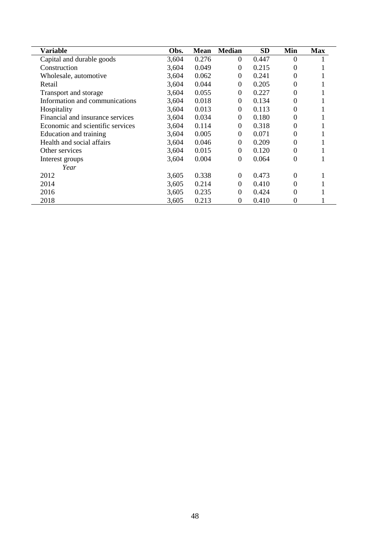| <b>Variable</b>                  | Obs.  | <b>Mean</b> | <b>Median</b> | <b>SD</b> | Min               | <b>Max</b> |
|----------------------------------|-------|-------------|---------------|-----------|-------------------|------------|
| Capital and durable goods        | 3,604 | 0.276       | $\Omega$      | 0.447     | $\theta$          |            |
| Construction                     | 3,604 | 0.049       | $\Omega$      | 0.215     |                   |            |
| Wholesale, automotive            | 3,604 | 0.062       | $\Omega$      | 0.241     |                   |            |
| Retail                           | 3,604 | 0.044       | $\Omega$      | 0.205     |                   |            |
| Transport and storage            | 3,604 | 0.055       | $\Omega$      | 0.227     | $\Omega$          |            |
| Information and communications   | 3,604 | 0.018       | $\Omega$      | 0.134     |                   |            |
| Hospitality                      | 3,604 | 0.013       | $\Omega$      | 0.113     |                   |            |
| Financial and insurance services | 3,604 | 0.034       | $\Omega$      | 0.180     | $\theta$          |            |
| Economic and scientific services | 3,604 | 0.114       | $\Omega$      | 0.318     |                   |            |
| Education and training           | 3,604 | 0.005       | $\Omega$      | 0.071     | $\Omega$          |            |
| Health and social affairs        | 3,604 | 0.046       | $\Omega$      | 0.209     |                   |            |
| Other services                   | 3,604 | 0.015       | $\Omega$      | 0.120     |                   |            |
| Interest groups                  | 3,604 | 0.004       | $\Omega$      | 0.064     | $\Omega$          |            |
| Year                             |       |             |               |           |                   |            |
| 2012                             | 3,605 | 0.338       | $\Omega$      | 0.473     | $\Omega$          |            |
| 2014                             | 3,605 | 0.214       | $\Omega$      | 0.410     |                   |            |
| 2016                             | 3,605 | 0.235       | $\Omega$      | 0.424     |                   |            |
| 2018                             | 3,605 | 0.213       | $^{(1)}$      | 0.410     | $\mathbf{\Omega}$ |            |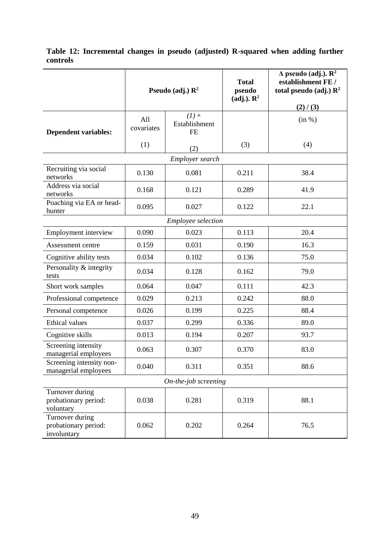|                                                        | Pseudo (adj.) $\mathbb{R}^2$ |                                       | <b>Total</b><br>pseudo<br>$(adj.)$ . $\mathbb{R}^2$ | $\Delta$ pseudo (adj.). $\mathbb{R}^2$<br>establishment FE /<br>total pseudo (adj.) $\mathbb{R}^2$<br>(2) / (3) |  |  |  |
|--------------------------------------------------------|------------------------------|---------------------------------------|-----------------------------------------------------|-----------------------------------------------------------------------------------------------------------------|--|--|--|
| <b>Dependent variables:</b>                            | All<br>covariates            | $(1) +$<br>Establishment<br><b>FE</b> |                                                     | (in %)                                                                                                          |  |  |  |
|                                                        | (1)                          | (2)                                   | (3)                                                 | (4)                                                                                                             |  |  |  |
|                                                        |                              | Employer search                       |                                                     |                                                                                                                 |  |  |  |
| Recruiting via social<br>networks                      | 0.130                        | 0.081                                 | 0.211                                               | 38.4                                                                                                            |  |  |  |
| Address via social<br>networks                         | 0.168                        | 0.121                                 | 0.289                                               | 41.9                                                                                                            |  |  |  |
| Poaching via EA or head-<br>hunter                     | 0.095                        | 0.027                                 | 0.122                                               | 22.1                                                                                                            |  |  |  |
|                                                        |                              | Employee selection                    |                                                     |                                                                                                                 |  |  |  |
| Employment interview                                   | 0.090                        | 0.023                                 | 0.113                                               | 20.4                                                                                                            |  |  |  |
| Assessment centre                                      | 0.159                        | 0.031                                 | 0.190                                               | 16.3                                                                                                            |  |  |  |
| Cognitive ability tests                                | 0.034                        | 0.102                                 | 0.136                                               | 75.0                                                                                                            |  |  |  |
| Personality & integrity<br>tests                       | 0.034                        | 0.128                                 | 0.162                                               | 79.0                                                                                                            |  |  |  |
| Short work samples                                     | 0.064                        | 0.047                                 | 0.111                                               | 42.3                                                                                                            |  |  |  |
| Professional competence                                | 0.029                        | 0.213                                 | 0.242                                               | 88.0                                                                                                            |  |  |  |
| Personal competence                                    | 0.026                        | 0.199                                 | 0.225                                               | 88.4                                                                                                            |  |  |  |
| Ethical values                                         | 0.037                        | 0.299                                 | 0.336                                               | 89.0                                                                                                            |  |  |  |
| Cognitive skills                                       | 0.013                        | 0.194                                 | 0.207                                               | 93.7                                                                                                            |  |  |  |
| Screening intensity<br>managerial employees            | 0.063                        | 0.307                                 | 0.370                                               | 83.0                                                                                                            |  |  |  |
| Screening intensity non-<br>managerial employees       | 0.040                        | 0.311                                 | 0.351                                               | 88.6                                                                                                            |  |  |  |
| On-the-job screening                                   |                              |                                       |                                                     |                                                                                                                 |  |  |  |
| Turnover during<br>probationary period:<br>voluntary   | 0.038                        | 0.281                                 | 0.319                                               | 88.1                                                                                                            |  |  |  |
| Turnover during<br>probationary period:<br>involuntary | 0.062                        | 0.202                                 | 0.264                                               | 76.5                                                                                                            |  |  |  |

## <span id="page-50-0"></span>**Table 12: Incremental changes in pseudo (adjusted) R-squared when adding further controls**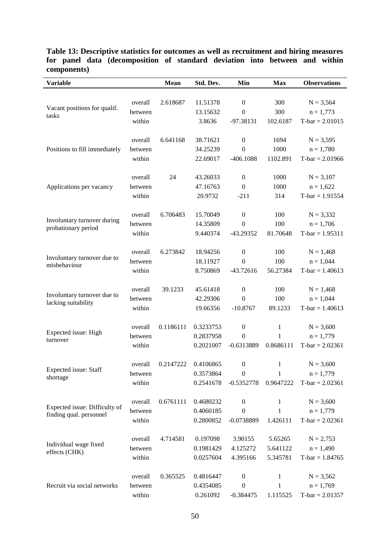| <b>Variable</b>                                    |         | <b>Mean</b> | Std. Dev. | Min              | <b>Max</b>   | <b>Observations</b> |
|----------------------------------------------------|---------|-------------|-----------|------------------|--------------|---------------------|
|                                                    |         |             |           |                  |              |                     |
|                                                    | overall | 2.618687    | 11.51378  | $\boldsymbol{0}$ | 300          | $N = 3,564$         |
| Vacant positions for qualif.<br>tasks              | between |             | 13.15632  | $\mathbf{0}$     | 300          | $n = 1,773$         |
|                                                    | within  |             | 3.8636    | -97.38131        | 102.6187     | $T-bar = 2.01015$   |
|                                                    |         |             |           |                  |              |                     |
|                                                    | overall | 6.641168    | 38.71621  | $\boldsymbol{0}$ | 1694         | $N = 3,595$         |
| Positions to fill immediately                      | between |             | 34.25239  | $\boldsymbol{0}$ | 1000         | $n = 1,780$         |
|                                                    | within  |             | 22.69017  | $-406.1088$      | 1102.891     | $T-bar = 2.01966$   |
|                                                    | overall | 24          | 43.26033  | $\boldsymbol{0}$ | 1000         | $N = 3,107$         |
|                                                    | between |             | 47.16763  | $\overline{0}$   | 1000         | $n = 1,622$         |
| Applications per vacancy                           |         |             |           |                  |              |                     |
|                                                    | within  |             | 20.9732   | $-211$           | 314          | $T-bar = 1.91554$   |
|                                                    | overall | 6.706483    | 15.70049  | $\boldsymbol{0}$ | 100          | $N = 3,332$         |
| Involuntary turnover during                        | between |             | 14.35809  | $\mathbf{0}$     | 100          | $n = 1,706$         |
| probationary period                                | within  |             | 9.440374  | -43.29352        | 81.70648     | $T-bar = 1.95311$   |
|                                                    |         |             |           |                  |              |                     |
|                                                    | overall | 6.273842    | 18.94256  | $\boldsymbol{0}$ | 100          | $N = 1,468$         |
| Involuntary turnover due to                        | between |             | 18.11927  | $\overline{0}$   | 100          | $n = 1,044$         |
| misbehaviour                                       | within  |             | 8.750869  | $-43.72616$      | 56.27384     | $T-bar = 1.40613$   |
|                                                    |         |             |           |                  |              |                     |
|                                                    | overall | 39.1233     | 45.61418  | $\boldsymbol{0}$ | 100          | $N = 1,468$         |
| Involuntary turnover due to<br>lacking suitability | between |             | 42.29306  | $\mathbf{0}$     | 100          | $n = 1,044$         |
|                                                    | within  |             | 19.66356  | $-10.8767$       | 89.1233      | $T-bar = 1.40613$   |
|                                                    |         |             |           |                  |              |                     |
| Expected issue: High                               | overall | 0.1186111   | 0.3233753 | $\boldsymbol{0}$ | 1            | $N = 3,600$         |
| turnover                                           | between |             | 0.2837958 | $\overline{0}$   | $\mathbf{1}$ | $n = 1,779$         |
|                                                    | within  |             | 0.2021007 | $-0.6313889$     | 0.8686111    | $T-bar = 2.02361$   |
|                                                    |         |             |           |                  |              |                     |
| Expected issue: Staff                              | overall | 0.2147222   | 0.4106865 | $\boldsymbol{0}$ | 1            | $N = 3,600$         |
| shortage                                           | between |             | 0.3573864 | $\boldsymbol{0}$ | 1            | $n = 1,779$         |
|                                                    | within  |             | 0.2541678 | $-0.5352778$     | 0.9647222    | $T-bar = 2.02361$   |
|                                                    | overall | 0.6761111   | 0.4680232 | $\boldsymbol{0}$ | 1            | $N = 3,600$         |
| Expected issue: Difficulty of                      | between |             | 0.4060185 | $\boldsymbol{0}$ | $\mathbf{1}$ | $n = 1,779$         |
| finding qual. personnel                            | within  |             | 0.2800852 | $-0.0738889$     | 1.426111     | $T-bar = 2.02361$   |
|                                                    |         |             |           |                  |              |                     |
| Individual wage fixed<br>effects (CHK)             | overall | 4.714581    | 0.197098  | 3.90155          | 5.65265      | $N = 2,753$         |
|                                                    | between |             | 0.1981429 | 4.125272         | 5.641122     | $n = 1,490$         |
|                                                    | within  |             | 0.0257604 | 4.395166         | 5.345781     | $T-bar = 1.84765$   |
|                                                    |         |             |           |                  |              |                     |
|                                                    | overall | 0.365525    | 0.4816447 | $\boldsymbol{0}$ | $\mathbf{1}$ | $N = 3,562$         |
| Recruit via social networks                        | between |             | 0.4354085 | $\boldsymbol{0}$ | $\mathbf{1}$ | $n = 1,769$         |
|                                                    | within  |             | 0.261092  | $-0.384475$      | 1.115525     | $T-bar = 2.01357$   |

#### <span id="page-51-0"></span>**Table 13: Descriptive statistics for outcomes as well as recruitment and hiring measures for panel data (decomposition of standard deviation into between and within components)**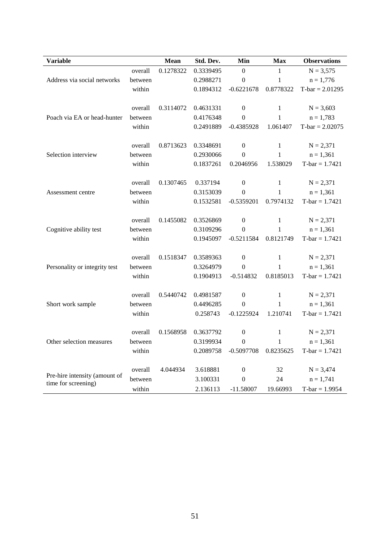| <b>Variable</b>                                      |         | Mean      | Std. Dev. | Min              | <b>Max</b>   | <b>Observations</b> |
|------------------------------------------------------|---------|-----------|-----------|------------------|--------------|---------------------|
|                                                      | overall | 0.1278322 | 0.3339495 | $\boldsymbol{0}$ | 1            | $N = 3,575$         |
| Address via social networks                          | between |           | 0.2988271 | $\boldsymbol{0}$ | $\mathbf{1}$ | $n = 1,776$         |
|                                                      | within  |           | 0.1894312 | $-0.6221678$     | 0.8778322    | $T-bar = 2.01295$   |
|                                                      | overall | 0.3114072 | 0.4631331 | $\boldsymbol{0}$ | $\mathbf{1}$ | $N = 3,603$         |
| Poach via EA or head-hunter                          | between |           | 0.4176348 | $\boldsymbol{0}$ | $\mathbf{1}$ | $n = 1,783$         |
|                                                      | within  |           | 0.2491889 | $-0.4385928$     | 1.061407     | $T-bar = 2.02075$   |
|                                                      | overall | 0.8713623 | 0.3348691 | $\boldsymbol{0}$ | $\mathbf{1}$ | $N = 2,371$         |
| Selection interview                                  | between |           | 0.2930066 | $\boldsymbol{0}$ | $\mathbf{1}$ | $n = 1,361$         |
|                                                      | within  |           | 0.1837261 | 0.2046956        | 1.538029     | $T-bar = 1.7421$    |
|                                                      | overall | 0.1307465 | 0.337194  | $\boldsymbol{0}$ | $\mathbf{1}$ | $N = 2,371$         |
| Assessment centre                                    | between |           | 0.3153039 | $\boldsymbol{0}$ | 1            | $n = 1,361$         |
|                                                      | within  |           | 0.1532581 | $-0.5359201$     | 0.7974132    | $T-bar = 1.7421$    |
|                                                      | overall | 0.1455082 | 0.3526869 | $\boldsymbol{0}$ | $\mathbf{1}$ | $N = 2,371$         |
| Cognitive ability test                               | between |           | 0.3109296 | $\boldsymbol{0}$ | $\mathbf{1}$ | $n = 1,361$         |
|                                                      | within  |           | 0.1945097 | $-0.5211584$     | 0.8121749    | $T-bar = 1.7421$    |
|                                                      | overall | 0.1518347 | 0.3589363 | $\boldsymbol{0}$ | $\mathbf{1}$ | $N = 2,371$         |
| Personality or integrity test                        | between |           | 0.3264979 | $\boldsymbol{0}$ | $\mathbf{1}$ | $n = 1,361$         |
|                                                      | within  |           | 0.1904913 | $-0.514832$      | 0.8185013    | $T-bar = 1.7421$    |
|                                                      | overall | 0.5440742 | 0.4981587 | $\boldsymbol{0}$ | $\mathbf 1$  | $N = 2,371$         |
| Short work sample                                    | between |           | 0.4496285 | $\boldsymbol{0}$ | $\mathbf{1}$ | $n = 1,361$         |
|                                                      | within  |           | 0.258743  | $-0.1225924$     | 1.210741     | $T-bar = 1.7421$    |
| Other selection measures                             | overall | 0.1568958 | 0.3637792 | $\boldsymbol{0}$ | $\mathbf{1}$ | $N = 2,371$         |
|                                                      | between |           | 0.3199934 | $\boldsymbol{0}$ | $\mathbf{1}$ | $n = 1,361$         |
|                                                      | within  |           | 0.2089758 | $-0.5097708$     | 0.8235625    | $T-bar = 1.7421$    |
|                                                      | overall | 4.044934  | 3.618881  | $\boldsymbol{0}$ | 32           | $N = 3,474$         |
| Pre-hire intensity (amount of<br>time for screening) | between |           | 3.100331  | $\boldsymbol{0}$ | 24           | $n = 1,741$         |
|                                                      | within  |           | 2.136113  | $-11.58007$      | 19.66993     | $T-bar = 1.9954$    |